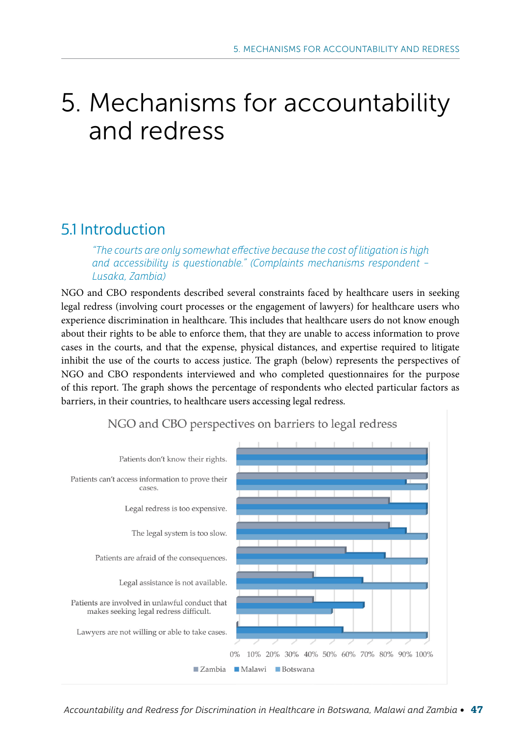# 5. Mechanisms for accountability and redress

# 5.1 Introduction

"The courts are only somewhat effective because the cost of litigation is high and accessibility is questionable." (Complaints mechanisms respondent – Lusaka, Zambia)

NGO and CBO respondents described several constraints faced by healthcare users in seeking legal redress (involving court processes or the engagement of lawyers) for healthcare users who experience discrimination in healthcare. This includes that healthcare users do not know enough about their rights to be able to enforce them, that they are unable to access information to prove cases in the courts, and that the expense, physical distances, and expertise required to litigate inhibit the use of the courts to access justice. The graph (below) represents the perspectives of NGO and CBO respondents interviewed and who completed questionnaires for the purpose of this report. The graph shows the percentage of respondents who elected particular factors as barriers, in their countries, to healthcare users accessing legal redress.



NGO and CBO perspectives on barriers to legal redress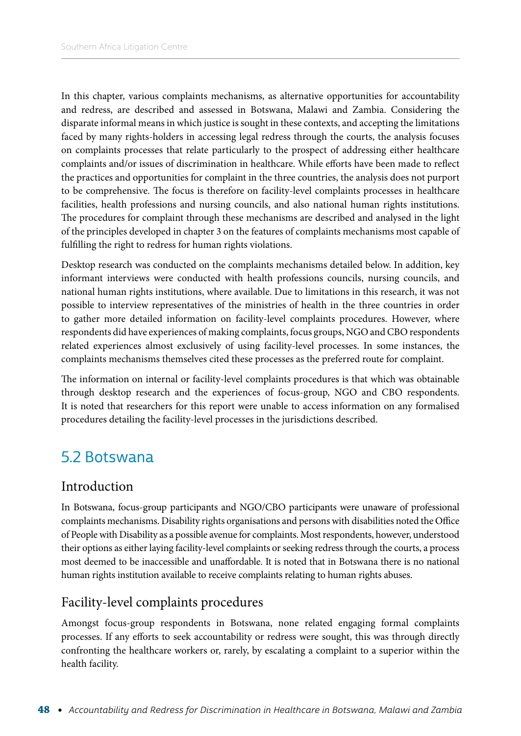In this chapter, various complaints mechanisms, as alternative opportunities for accountability and redress, are described and assessed in Botswana, Malawi and Zambia. Considering the disparate informal means in which justice is sought in these contexts, and accepting the limitations faced by many rights-holders in accessing legal redress through the courts, the analysis focuses on complaints processes that relate particularly to the prospect of addressing either healthcare complaints and/or issues of discrimination in healthcare. While efforts have been made to reflect the practices and opportunities for complaint in the three countries, the analysis does not purport to be comprehensive. The focus is therefore on facility-level complaints processes in healthcare facilities, health professions and nursing councils, and also national human rights institutions. The procedures for complaint through these mechanisms are described and analysed in the light of the principles developed in chapter 3 on the features of complaints mechanisms most capable of fulfilling the right to redress for human rights violations.

Desktop research was conducted on the complaints mechanisms detailed below. In addition, key informant interviews were conducted with health professions councils, nursing councils, and national human rights institutions, where available. Due to limitations in this research, it was not possible to interview representatives of the ministries of health in the three countries in order to gather more detailed information on facility-level complaints procedures. However, where respondents did have experiences of making complaints, focus groups, NGO and CBO respondents related experiences almost exclusively of using facility-level processes. In some instances, the complaints mechanisms themselves cited these processes as the preferred route for complaint.

The information on internal or facility-level complaints procedures is that which was obtainable through desktop research and the experiences of focus-group, NGO and CBO respondents. It is noted that researchers for this report were unable to access information on any formalised procedures detailing the facility-level processes in the jurisdictions described.

# 5.2 Botswana

#### Introduction

In Botswana, focus-group participants and NGO/CBO participants were unaware of professional complaints mechanisms. Disability rights organisations and persons with disabilities noted the Office of People with Disability as a possible avenue for complaints. Most respondents, however, understood their options as either laying facility-level complaints or seeking redress through the courts, a process most deemed to be inaccessible and unaffordable. It is noted that in Botswana there is no national human rights institution available to receive complaints relating to human rights abuses.

#### Facility-level complaints procedures

Amongst focus-group respondents in Botswana, none related engaging formal complaints processes. If any efforts to seek accountability or redress were sought, this was through directly confronting the healthcare workers or, rarely, by escalating a complaint to a superior within the health facility.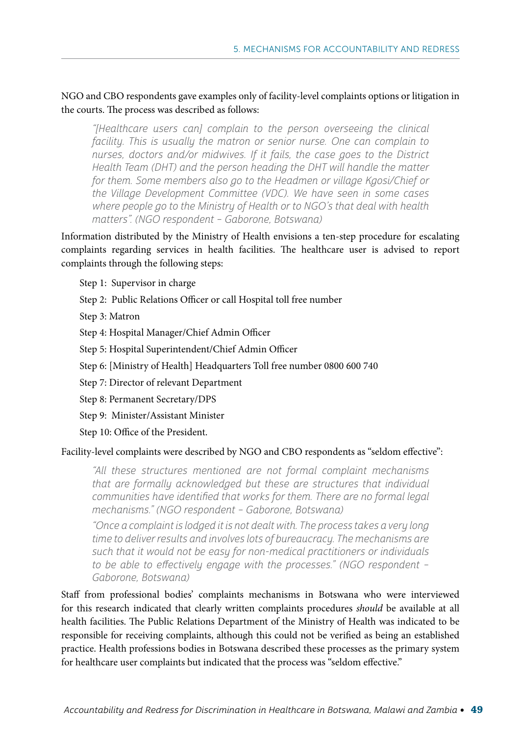NGO and CBO respondents gave examples only of facility-level complaints options or litigation in the courts. The process was described as follows:

"[Healthcare users can] complain to the person overseeing the clinical facility. This is usually the matron or senior nurse. One can complain to nurses, doctors and/or midwives. If it fails, the case goes to the District Health Team (DHT) and the person heading the DHT will handle the matter for them. Some members also go to the Headmen or village Kgosi/Chief or the Village Development Committee (VDC). We have seen in some cases where people go to the Ministry of Health or to NGO's that deal with health matters". (NGO respondent – Gaborone, Botswana)

Information distributed by the Ministry of Health envisions a ten-step procedure for escalating complaints regarding services in health facilities. The healthcare user is advised to report complaints through the following steps:

Step 1: Supervisor in charge

Step 2: Public Relations Officer or call Hospital toll free number

Step 3: Matron

Step 4: Hospital Manager/Chief Admin Officer

Step 5: Hospital Superintendent/Chief Admin Officer

Step 6: [Ministry of Health] Headquarters Toll free number 0800 600 740

Step 7: Director of relevant Department

Step 8: Permanent Secretary/DPS

Step 9: Minister/Assistant Minister

Step 10: Office of the President.

Facility-level complaints were described by NGO and CBO respondents as "seldom effective":

"All these structures mentioned are not formal complaint mechanisms that are formally acknowledged but these are structures that individual communities have identified that works for them. There are no formal legal mechanisms." (NGO respondent – Gaborone, Botswana)

"Once a complaint is lodged it is not dealt with. The process takes a very long time to deliver results and involves lots of bureaucracy. The mechanisms are such that it would not be easy for non-medical practitioners or individuals to be able to effectively engage with the processes." (NGO respondent – Gaborone, Botswana)

Staff from professional bodies' complaints mechanisms in Botswana who were interviewed for this research indicated that clearly written complaints procedures *should* be available at all health facilities. The Public Relations Department of the Ministry of Health was indicated to be responsible for receiving complaints, although this could not be verified as being an established practice. Health professions bodies in Botswana described these processes as the primary system for healthcare user complaints but indicated that the process was "seldom effective."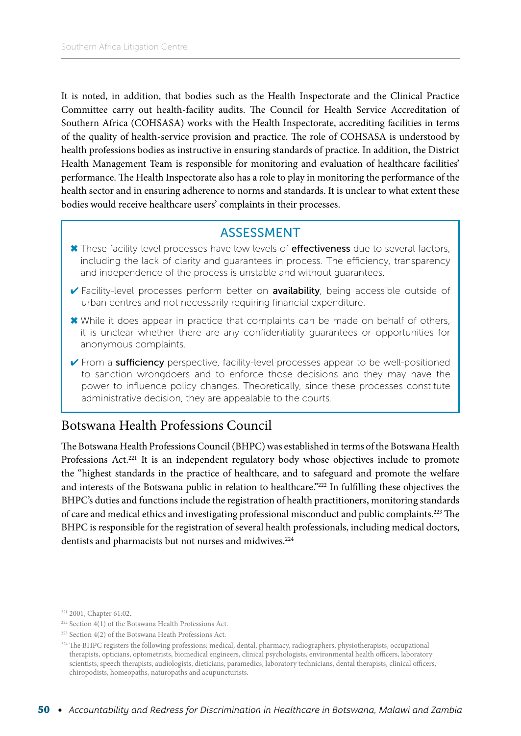It is noted, in addition, that bodies such as the Health Inspectorate and the Clinical Practice Committee carry out health-facility audits. The Council for Health Service Accreditation of Southern Africa (COHSASA) works with the Health Inspectorate, accrediting facilities in terms of the quality of health-service provision and practice. The role of COHSASA is understood by health professions bodies as instructive in ensuring standards of practice. In addition, the District Health Management Team is responsible for monitoring and evaluation of healthcare facilities' performance. The Health Inspectorate also has a role to play in monitoring the performance of the health sector and in ensuring adherence to norms and standards. It is unclear to what extent these bodies would receive healthcare users' complaints in their processes.

#### ASSESSMENT

- ✖ These facility-level processes have low levels of effectiveness due to several factors, including the lack of clarity and guarantees in process. The efficiency, transparency and independence of the process is unstable and without guarantees.
- ✔ Facility-level processes perform better on availability, being accessible outside of urban centres and not necessarily requiring financial expenditure.
- ✖ While it does appear in practice that complaints can be made on behalf of others, it is unclear whether there are any confidentiality guarantees or opportunities for anonymous complaints.
- ✔ From a sufficiency perspective, facility-level processes appear to be well-positioned to sanction wrongdoers and to enforce those decisions and they may have the power to influence policy changes. Theoretically, since these processes constitute administrative decision, they are appealable to the courts.

#### Botswana Health Professions Council

The Botswana Health Professions Council (BHPC) was established in terms of the Botswana Health Professions Act.<sup>221</sup> It is an independent regulatory body whose objectives include to promote the "highest standards in the practice of healthcare, and to safeguard and promote the welfare and interests of the Botswana public in relation to healthcare."222 In fulfilling these objectives the BHPC's duties and functions include the registration of health practitioners, monitoring standards of care and medical ethics and investigating professional misconduct and public complaints.223 The BHPC is responsible for the registration of several health professionals, including medical doctors, dentists and pharmacists but not nurses and midwives.<sup>224</sup>

<sup>&</sup>lt;sup>221</sup> 2001, Chapter 61:02.

<sup>222</sup> Section 4(1) of the Botswana Health Professions Act.

<sup>223</sup> Section 4(2) of the Botswana Heath Professions Act.

 $^{224}$  The BHPC registers the following professions: medical, dental, pharmacy, radiographers, physiotherapists, occupational therapists, opticians, optometrists, biomedical engineers, clinical psychologists, environmental health officers, laboratory scientists, speech therapists, audiologists, dieticians, paramedics, laboratory technicians, dental therapists, clinical officers, chiropodists, homeopaths, naturopaths and acupuncturists.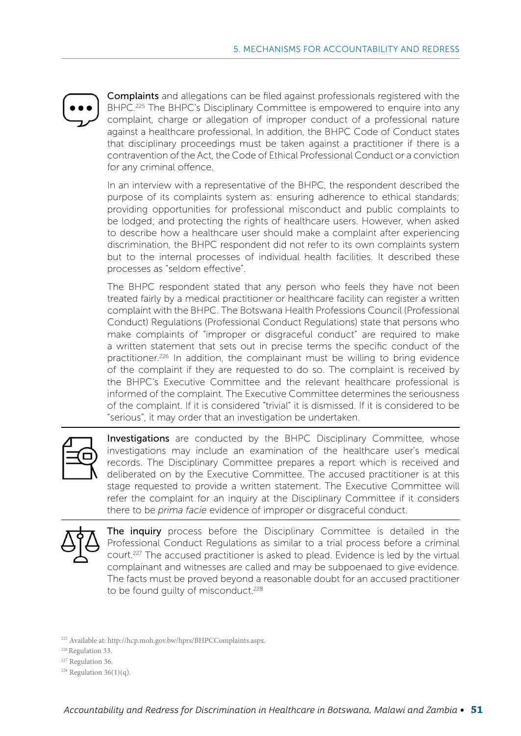Complaints and allegations can be filed against professionals registered with the BHPC.<sup>225</sup> The BHPC's Disciplinary Committee is empowered to enquire into any complaint, charge or allegation of improper conduct of a professional nature against a healthcare professional. In addition, the BHPC Code of Conduct states that disciplinary proceedings must be taken against a practitioner if there is a contravention of the Act, the Code of Ethical Professional Conduct or a conviction for any criminal offence.

In an interview with a representative of the BHPC, the respondent described the purpose of its complaints system as: ensuring adherence to ethical standards; providing opportunities for professional misconduct and public complaints to be lodged; and protecting the rights of healthcare users. However, when asked to describe how a healthcare user should make a complaint after experiencing discrimination, the BHPC respondent did not refer to its own complaints system but to the internal processes of individual health facilities. It described these processes as "seldom effective".

The BHPC respondent stated that any person who feels they have not been treated fairly by a medical practitioner or healthcare facility can register a written complaint with the BHPC. The Botswana Health Professions Council (Professional Conduct) Regulations (Professional Conduct Regulations) state that persons who make complaints of "improper or disgraceful conduct" are required to make a written statement that sets out in precise terms the specific conduct of the practitioner.<sup>226</sup> In addition, the complainant must be willing to bring evidence of the complaint if they are requested to do so. The complaint is received by the BHPC's Executive Committee and the relevant healthcare professional is informed of the complaint. The Executive Committee determines the seriousness of the complaint. If it is considered "trivial" it is dismissed. If it is considered to be "serious", it may order that an investigation be undertaken.



**Investigations** are conducted by the BHPC Disciplinary Committee, whose investigations may include an examination of the healthcare user's medical records. The Disciplinary Committee prepares a report which is received and deliberated on by the Executive Committee. The accused practitioner is at this stage requested to provide a written statement. The Executive Committee will refer the complaint for an inquiry at the Disciplinary Committee if it considers there to be *prima facie* evidence of improper or disgraceful conduct.



The inquiry process before the Disciplinary Committee is detailed in the Professional Conduct Regulations as similar to a trial process before a criminal court.<sup>227</sup> The accused practitioner is asked to plead. Evidence is led by the virtual complainant and witnesses are called and may be subpoenaed to give evidence. The facts must be proved beyond a reasonable doubt for an accused practitioner to be found quilty of misconduct.<sup>228</sup>

225 Available at: http://hcp.moh.gov.bw/hprs/BHPCComplaints.aspx.

- 226 Regulation 33.
- <sup>227</sup> Regulation 36.
- <sup>228</sup> Regulation  $36(1)(q)$ .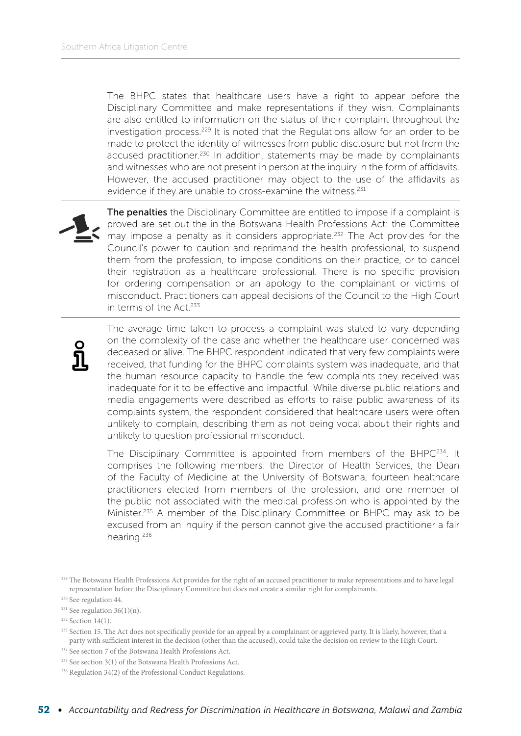The BHPC states that healthcare users have a right to appear before the Disciplinary Committee and make representations if they wish. Complainants are also entitled to information on the status of their complaint throughout the investigation process.229 It is noted that the Regulations allow for an order to be made to protect the identity of witnesses from public disclosure but not from the accused practitioner.<sup>230</sup> In addition, statements may be made by complainants and witnesses who are not present in person at the inquiry in the form of affidavits. However, the accused practitioner may object to the use of the affidavits as evidence if they are unable to cross-examine the witness.<sup>231</sup>



The penalties the Disciplinary Committee are entitled to impose if a complaint is proved are set out the in the Botswana Health Professions Act: the Committee may impose a penalty as it considers appropriate.<sup>232</sup> The Act provides for the Council's power to caution and reprimand the health professional, to suspend them from the profession, to impose conditions on their practice, or to cancel their registration as a healthcare professional. There is no specific provision for ordering compensation or an apology to the complainant or victims of misconduct. Practitioners can appeal decisions of the Council to the High Court in terms of the Act.<sup>233</sup>



The average time taken to process a complaint was stated to vary depending on the complexity of the case and whether the healthcare user concerned was deceased or alive. The BHPC respondent indicated that very few complaints were received, that funding for the BHPC complaints system was inadequate, and that the human resource capacity to handle the few complaints they received was inadequate for it to be effective and impactful. While diverse public relations and media engagements were described as efforts to raise public awareness of its complaints system, the respondent considered that healthcare users were often unlikely to complain, describing them as not being vocal about their rights and unlikely to question professional misconduct.

The Disciplinary Committee is appointed from members of the BHPC<sup>234</sup>. It comprises the following members: the Director of Health Services, the Dean of the Faculty of Medicine at the University of Botswana, fourteen healthcare practitioners elected from members of the profession, and one member of the public not associated with the medical profession who is appointed by the Minister.235 A member of the Disciplinary Committee or BHPC may ask to be excused from an inquiry if the person cannot give the accused practitioner a fair hearing.<sup>236</sup>

<sup>&</sup>lt;sup>229</sup> The Botswana Health Professions Act provides for the right of an accused practitioner to make representations and to have legal representation before the Disciplinary Committee but does not create a similar right for complainants.

<sup>230</sup> See regulation 44.

 $231$  See regulation 36(1)(n).

 $232$  Section 14(1).

<sup>&</sup>lt;sup>233</sup> Section 15. The Act does not specifically provide for an appeal by a complainant or aggrieved party. It is likely, however, that a party with sufficient interest in the decision (other than the accused), could take the decision on review to the High Court.

<sup>234</sup> See section 7 of the Botswana Health Professions Act.

<sup>235</sup> See section 3(1) of the Botswana Health Professions Act.

<sup>236</sup> Regulation 34(2) of the Professional Conduct Regulations.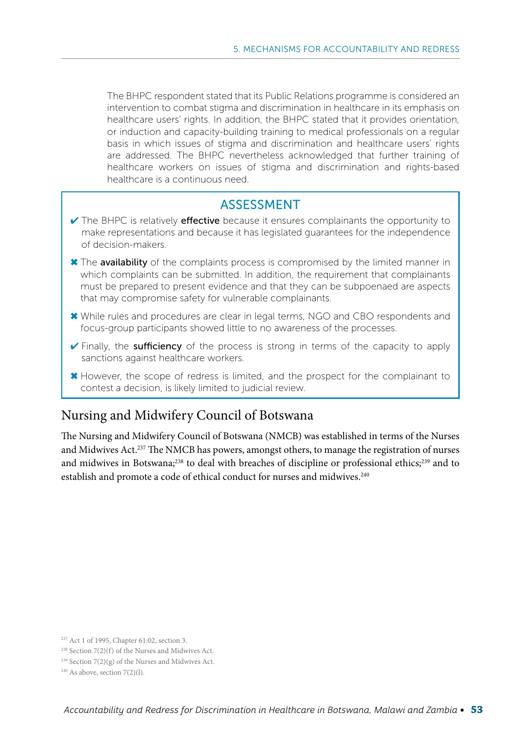The BHPC respondent stated that its Public Relations programme is considered an intervention to combat stigma and discrimination in healthcare in its emphasis on healthcare users' rights. In addition, the BHPC stated that it provides orientation, or induction and capacity-building training to medical professionals on a regular basis in which issues of stigma and discrimination and healthcare users' rights are addressed. The BHPC nevertheless acknowledged that further training of healthcare workers on issues of stigma and discrimination and rights-based healthcare is a continuous need.

#### ASSESSMENT

- $\vee$  The BHPC is relatively **effective** because it ensures complainants the opportunity to make representations and because it has legislated guarantees for the independence of decision-makers.
- ✖ The availability of the complaints process is compromised by the limited manner in which complaints can be submitted. In addition, the requirement that complainants must be prepared to present evidence and that they can be subpoenaed are aspects that may compromise safety for vulnerable complainants.
- ✖ While rules and procedures are clear in legal terms, NGO and CBO respondents and focus-group participants showed little to no awareness of the processes.
- ✔ Finally, the sufficiency of the process is strong in terms of the capacity to apply sanctions against healthcare workers.
- ✖ However, the scope of redress is limited, and the prospect for the complainant to contest a decision, is likely limited to judicial review.

#### Nursing and Midwifery Council of Botswana

The Nursing and Midwifery Council of Botswana (NMCB) was established in terms of the Nurses and Midwives Act.237 The NMCB has powers, amongst others, to manage the registration of nurses and midwives in Botswana;<sup>238</sup> to deal with breaches of discipline or professional ethics;<sup>239</sup> and to establish and promote a code of ethical conduct for nurses and midwives.<sup>240</sup>

<sup>237</sup> Act 1 of 1995, Chapter 61:02, section 3.

<sup>238</sup> Section 7(2)(f) of the Nurses and Midwives Act.

<sup>&</sup>lt;sup>239</sup> Section  $7(2)(g)$  of the Nurses and Midwives Act.

 $240$  As above, section  $7(2)(1)$ .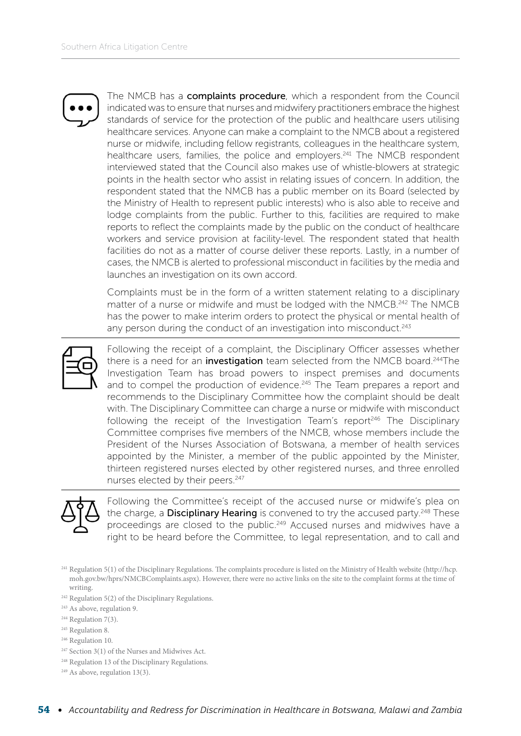The NMCB has a complaints procedure, which a respondent from the Council indicated was to ensure that nurses and midwifery practitioners embrace the highest standards of service for the protection of the public and healthcare users utilising healthcare services. Anyone can make a complaint to the NMCB about a registered nurse or midwife, including fellow registrants, colleagues in the healthcare system, healthcare users, families, the police and employers.<sup>241</sup> The NMCB respondent interviewed stated that the Council also makes use of whistle-blowers at strategic points in the health sector who assist in relating issues of concern. In addition, the respondent stated that the NMCB has a public member on its Board (selected by the Ministry of Health to represent public interests) who is also able to receive and lodge complaints from the public. Further to this, facilities are required to make reports to reflect the complaints made by the public on the conduct of healthcare workers and service provision at facility-level. The respondent stated that health facilities do not as a matter of course deliver these reports. Lastly, in a number of cases, the NMCB is alerted to professional misconduct in facilities by the media and launches an investigation on its own accord.

Complaints must be in the form of a written statement relating to a disciplinary matter of a nurse or midwife and must be lodged with the NMCB.<sup>242</sup> The NMCB has the power to make interim orders to protect the physical or mental health of any person during the conduct of an investigation into misconduct.<sup>243</sup>



Following the receipt of a complaint, the Disciplinary Officer assesses whether there is a need for an *investigation* team selected from the NMCB board.<sup>244</sup>The Investigation Team has broad powers to inspect premises and documents and to compel the production of evidence.<sup>245</sup> The Team prepares a report and recommends to the Disciplinary Committee how the complaint should be dealt with. The Disciplinary Committee can charge a nurse or midwife with misconduct following the receipt of the Investigation Team's report<sup>246</sup> The Disciplinary Committee comprises five members of the NMCB, whose members include the President of the Nurses Association of Botswana, a member of health services appointed by the Minister, a member of the public appointed by the Minister, thirteen registered nurses elected by other registered nurses, and three enrolled nurses elected by their peers.<sup>247</sup>



Following the Committee's receipt of the accused nurse or midwife's plea on the charge, a Disciplinary Hearing is convened to try the accused party.<sup>248</sup> These proceedings are closed to the public.<sup>249</sup> Accused nurses and midwives have a right to be heard before the Committee, to legal representation, and to call and

- 245 Regulation 8.
- 246 Regulation 10.
- 247 Section 3(1) of the Nurses and Midwives Act.
- 248 Regulation 13 of the Disciplinary Regulations.
- <sup>249</sup> As above, regulation 13(3).

<sup>241</sup> Regulation 5(1) of the Disciplinary Regulations. The complaints procedure is listed on the Ministry of Health website (http://hcp. moh.gov.bw/hprs/NMCBComplaints.aspx). However, there were no active links on the site to the complaint forms at the time of writing.

<sup>242</sup> Regulation 5(2) of the Disciplinary Regulations.

<sup>243</sup> As above, regulation 9.

<sup>&</sup>lt;sup>244</sup> Regulation 7(3).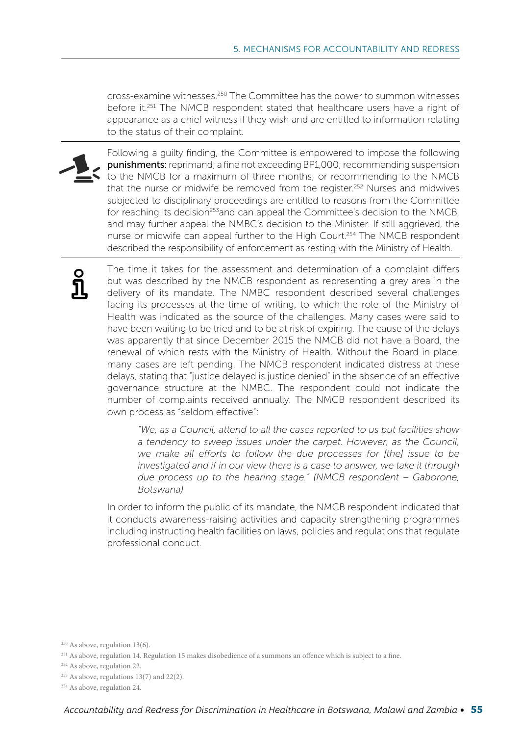cross-examine witnesses.250 The Committee has the power to summon witnesses before it.<sup>251</sup> The NMCB respondent stated that healthcare users have a right of appearance as a chief witness if they wish and are entitled to information relating to the status of their complaint.



Following a guilty finding, the Committee is empowered to impose the following punishments: reprimand; a fine not exceeding BP1,000; recommending suspension to the NMCB for a maximum of three months; or recommending to the NMCB that the nurse or midwife be removed from the register.<sup>252</sup> Nurses and midwives subjected to disciplinary proceedings are entitled to reasons from the Committee for reaching its decision<sup>253</sup>and can appeal the Committee's decision to the NMCB, and may further appeal the NMBC's decision to the Minister. If still aggrieved, the nurse or midwife can appeal further to the High Court.<sup>254</sup> The NMCB respondent described the responsibility of enforcement as resting with the Ministry of Health.

The time it takes for the assessment and determination of a complaint differs but was described by the NMCB respondent as representing a grey area in the delivery of its mandate. The NMBC respondent described several challenges facing its processes at the time of writing, to which the role of the Ministry of Health was indicated as the source of the challenges. Many cases were said to have been waiting to be tried and to be at risk of expiring. The cause of the delays was apparently that since December 2015 the NMCB did not have a Board, the renewal of which rests with the Ministry of Health. Without the Board in place, many cases are left pending. The NMCB respondent indicated distress at these delays, stating that "justice delayed is justice denied" in the absence of an effective governance structure at the NMBC. The respondent could not indicate the number of complaints received annually. The NMCB respondent described its own process as "seldom effective":

*"We, as a Council, attend to all the cases reported to us but facilities show a tendency to sweep issues under the carpet. However, as the Council, we make all efforts to follow the due processes for [the] issue to be investigated and if in our view there is a case to answer, we take it through due process up to the hearing stage." (NMCB respondent – Gaborone, Botswana)*

In order to inform the public of its mandate, the NMCB respondent indicated that it conducts awareness-raising activities and capacity strengthening programmes including instructing health facilities on laws, policies and regulations that regulate professional conduct.

<sup>250</sup> As above, regulation 13(6).

<sup>&</sup>lt;sup>251</sup> As above, regulation 14. Regulation 15 makes disobedience of a summons an offence which is subject to a fine.

<sup>252</sup> As above, regulation 22.

<sup>253</sup> As above, regulations 13(7) and 22(2).

<sup>&</sup>lt;sup>254</sup> As above, regulation 24.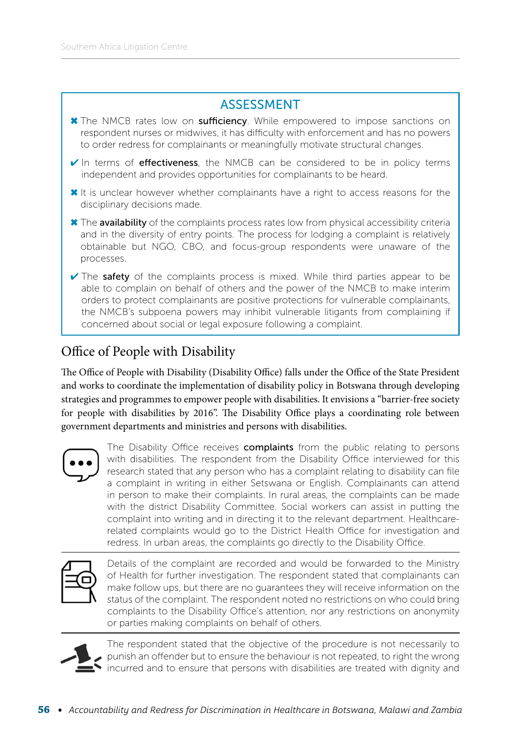#### ASSESSMENT



### Office of People with Disability

The Office of People with Disability (Disability Office) falls under the Office of the State President and works to coordinate the implementation of disability policy in Botswana through developing strategies and programmes to empower people with disabilities. It envisions a "barrier-free society for people with disabilities by 2016". The Disability Office plays a coordinating role between government departments and ministries and persons with disabilities.

concerned about social or legal exposure following a complaint.



The Disability Office receives complaints from the public relating to persons with disabilities. The respondent from the Disability Office interviewed for this research stated that any person who has a complaint relating to disability can file a complaint in writing in either Setswana or English. Complainants can attend in person to make their complaints. In rural areas, the complaints can be made with the district Disability Committee. Social workers can assist in putting the complaint into writing and in directing it to the relevant department. Healthcarerelated complaints would go to the District Health Office for investigation and redress. In urban areas, the complaints go directly to the Disability Office.



Details of the complaint are recorded and would be forwarded to the Ministry of Health for further investigation. The respondent stated that complainants can make follow ups, but there are no guarantees they will receive information on the status of the complaint. The respondent noted no restrictions on who could bring complaints to the Disability Office's attention, nor any restrictions on anonymity or parties making complaints on behalf of others.



The respondent stated that the objective of the procedure is not necessarily to punish an offender but to ensure the behaviour is not repeated, to right the wrong incurred and to ensure that persons with disabilities are treated with dignity and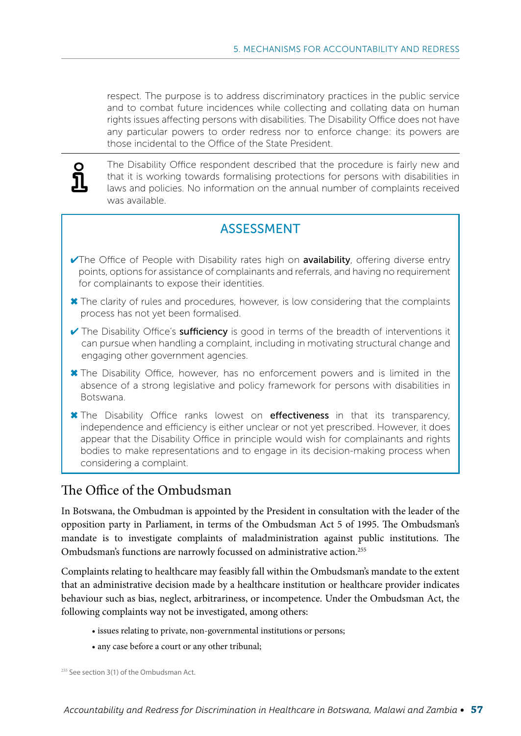respect. The purpose is to address discriminatory practices in the public service and to combat future incidences while collecting and collating data on human rights issues affecting persons with disabilities. The Disability Office does not have any particular powers to order redress nor to enforce change: its powers are those incidental to the Office of the State President.



The Disability Office respondent described that the procedure is fairly new and that it is working towards formalising protections for persons with disabilities in laws and policies. No information on the annual number of complaints received was available.

#### ASSESSMENT

- $\sqrt{\ }$ The Office of People with Disability rates high on **availability**, offering diverse entry points, options for assistance of complainants and referrals, and having no requirement for complainants to expose their identities.
- ✖ The clarity of rules and procedures, however, is low considering that the complaints process has not yet been formalised.
- $\vee$  The Disability Office's **sufficiency** is good in terms of the breadth of interventions it can pursue when handling a complaint, including in motivating structural change and engaging other government agencies.
- ✖ The Disability Office, however, has no enforcement powers and is limited in the absence of a strong legislative and policy framework for persons with disabilities in Botswana.
- ✖ The Disability Office ranks lowest on effectiveness in that its transparency, independence and efficiency is either unclear or not yet prescribed. However, it does appear that the Disability Office in principle would wish for complainants and rights bodies to make representations and to engage in its decision-making process when considering a complaint.

#### The Office of the Ombudsman

In Botswana, the Ombudman is appointed by the President in consultation with the leader of the opposition party in Parliament, in terms of the Ombudsman Act 5 of 1995. The Ombudsman's mandate is to investigate complaints of maladministration against public institutions. The Ombudsman's functions are narrowly focussed on administrative action.<sup>255</sup>

Complaints relating to healthcare may feasibly fall within the Ombudsman's mandate to the extent that an administrative decision made by a healthcare institution or healthcare provider indicates behaviour such as bias, neglect, arbitrariness, or incompetence. Under the Ombudsman Act, the following complaints way not be investigated, among others:

- issues relating to private, non-governmental institutions or persons;
- any case before a court or any other tribunal;

<sup>255</sup> See section 3(1) of the Ombudsman Act.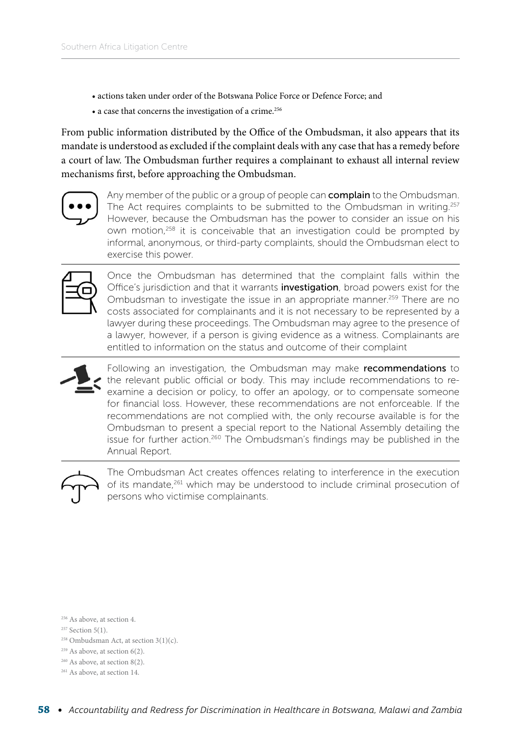- actions taken under order of the Botswana Police Force or Defence Force; and
- a case that concerns the investigation of a crime.<sup>256</sup>

From public information distributed by the Office of the Ombudsman, it also appears that its mandate is understood as excluded if the complaint deals with any case that has a remedy before a court of law. The Ombudsman further requires a complainant to exhaust all internal review mechanisms first, before approaching the Ombudsman.



Any member of the public or a group of people can **complain** to the Ombudsman. The Act requires complaints to be submitted to the Ombudsman in writing.<sup>257</sup> However, because the Ombudsman has the power to consider an issue on his own motion,<sup>258</sup> it is conceivable that an investigation could be prompted by informal, anonymous, or third-party complaints, should the Ombudsman elect to exercise this power.



Once the Ombudsman has determined that the complaint falls within the Office's jurisdiction and that it warrants **investigation**, broad powers exist for the Ombudsman to investigate the issue in an appropriate manner.<sup>259</sup> There are no costs associated for complainants and it is not necessary to be represented by a lawyer during these proceedings. The Ombudsman may agree to the presence of a lawyer, however, if a person is giving evidence as a witness. Complainants are entitled to information on the status and outcome of their complaint



Following an investigation, the Ombudsman may make recommendations to the relevant public official or body. This may include recommendations to reexamine a decision or policy, to offer an apology, or to compensate someone for financial loss. However, these recommendations are not enforceable. If the recommendations are not complied with, the only recourse available is for the Ombudsman to present a special report to the National Assembly detailing the issue for further action.260 The Ombudsman's findings may be published in the Annual Report.



The Ombudsman Act creates offences relating to interference in the execution of its mandate,<sup>261</sup> which may be understood to include criminal prosecution of persons who victimise complainants.

256 As above, at section 4.

257 Section 5(1).

- $258$  Ombudsman Act, at section 3(1)(c).
- $259$  As above, at section 6(2).
- 260 As above, at section 8(2).
- <sup>261</sup> As above, at section 14.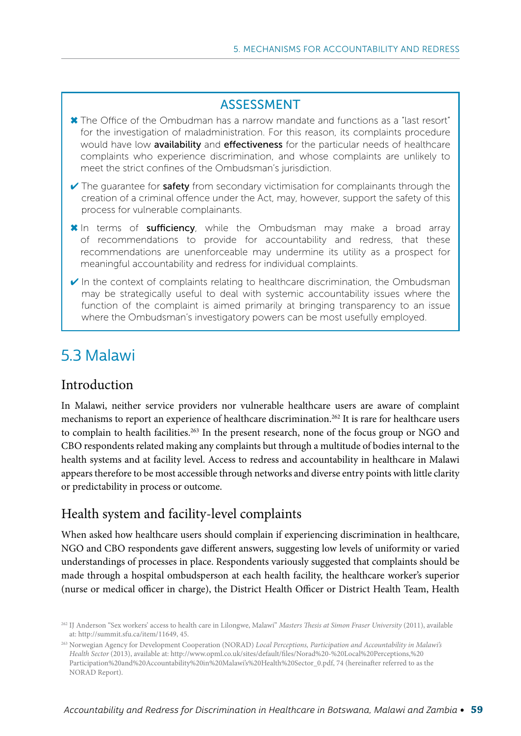#### ASSESSMENT

- ✖ The Office of the Ombudman has a narrow mandate and functions as a "last resort" for the investigation of maladministration. For this reason, its complaints procedure would have low availability and effectiveness for the particular needs of healthcare complaints who experience discrimination, and whose complaints are unlikely to meet the strict confines of the Ombudsman's jurisdiction.
- $\checkmark$  The quarantee for safety from secondary victimisation for complainants through the creation of a criminal offence under the Act, may, however, support the safety of this process for vulnerable complainants.
- **\*** In terms of **sufficiency**, while the Ombudsman may make a broad array of recommendations to provide for accountability and redress, that these recommendations are unenforceable may undermine its utility as a prospect for meaningful accountability and redress for individual complaints.
- $\checkmark$  In the context of complaints relating to healthcare discrimination, the Ombudsman may be strategically useful to deal with systemic accountability issues where the function of the complaint is aimed primarily at bringing transparency to an issue where the Ombudsman's investigatory powers can be most usefully employed.

# 5.3 Malawi

#### Introduction

In Malawi, neither service providers nor vulnerable healthcare users are aware of complaint mechanisms to report an experience of healthcare discrimination.262 It is rare for healthcare users to complain to health facilities.<sup>263</sup> In the present research, none of the focus group or NGO and CBO respondents related making any complaints but through a multitude of bodies internal to the health systems and at facility level. Access to redress and accountability in healthcare in Malawi appears therefore to be most accessible through networks and diverse entry points with little clarity or predictability in process or outcome.

#### Health system and facility-level complaints

When asked how healthcare users should complain if experiencing discrimination in healthcare, NGO and CBO respondents gave different answers, suggesting low levels of uniformity or varied understandings of processes in place. Respondents variously suggested that complaints should be made through a hospital ombudsperson at each health facility, the healthcare worker's superior (nurse or medical officer in charge), the District Health Officer or District Health Team, Health

<sup>262</sup> IJ Anderson "Sex workers' access to health care in Lilongwe, Malawi" *Masters Thesis at Simon Fraser University* (2011), available at:<http://summit.sfu.ca/item/11649>, 45.

<sup>263</sup> Norwegian Agency for Development Cooperation (NORAD) *Local Perceptions, Participation and Accountability in Malawi's Health Sector* (2013), available at: [http://www.opml.co.uk/sites/default/files/Norad%20-%20Local%20Perceptions,%20](http://www.opml.co.uk/sites/default/files/Norad%20-%20Local%20Perceptions,%20Participation%20and%20Accountability%20in%20Malawi) [Participation%20and%20Accountability%20in%20Malawi's%20Health%20Sector\\_0.pdf](http://www.opml.co.uk/sites/default/files/Norad%20-%20Local%20Perceptions,%20Participation%20and%20Accountability%20in%20Malawi), 74 (hereinafter referred to as the NORAD Report).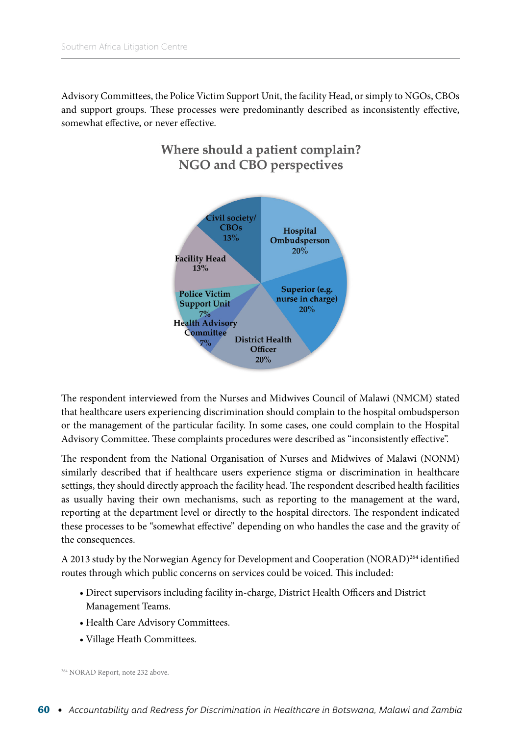Advisory Committees, the Police Victim Support Unit, the facility Head, or simply to NGOs, CBOs and support groups. These processes were predominantly described as inconsistently effective, somewhat effective, or never effective.



#### The respondent interviewed from the Nurses and Midwives Council of Malawi (NMCM) stated that healthcare users experiencing discrimination should complain to the hospital ombudsperson or the management of the particular facility. In some cases, one could complain to the Hospital Advisory Committee. These complaints procedures were described as "inconsistently effective".

The respondent from the National Organisation of Nurses and Midwives of Malawi (NONM) similarly described that if healthcare users experience stigma or discrimination in healthcare settings, they should directly approach the facility head. The respondent described health facilities as usually having their own mechanisms, such as reporting to the management at the ward, reporting at the department level or directly to the hospital directors. The respondent indicated these processes to be "somewhat effective" depending on who handles the case and the gravity of the consequences.

A 2013 study by the Norwegian Agency for Development and Cooperation (NORAD)264 identified routes through which public concerns on services could be voiced. This included:

- Direct supervisors including facility in-charge, District Health Officers and District Management Teams.
- Health Care Advisory Committees.
- Village Heath Committees.

264 NORAD Report, note 232 above.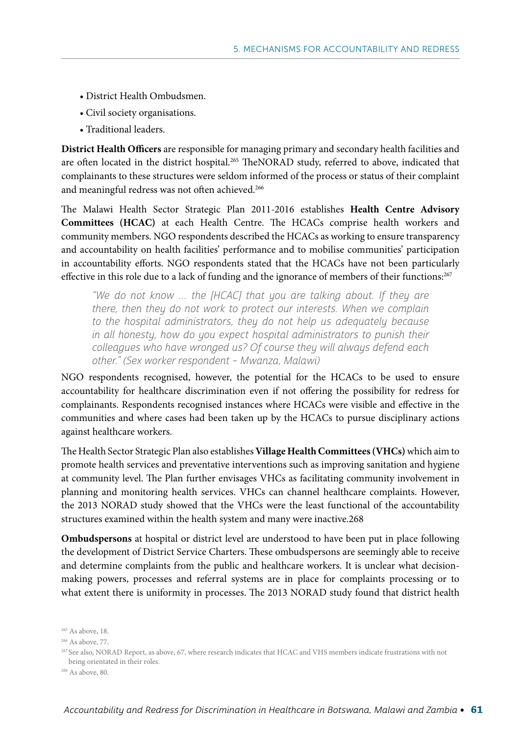- District Health Ombudsmen.
- Civil society organisations.
- Traditional leaders.

**District Health Officers** are responsible for managing primary and secondary health facilities and are often located in the district hospital.<sup>265</sup> TheNORAD study, referred to above, indicated that complainants to these structures were seldom informed of the process or status of their complaint and meaningful redress was not often achieved.<sup>266</sup>

The Malawi Health Sector Strategic Plan 2011-2016 establishes **Health Centre Advisory Committees (HCAC)** at each Health Centre. The HCACs comprise health workers and community members. NGO respondents described the HCACs as working to ensure transparency and accountability on health facilities' performance and to mobilise communities' participation in accountability efforts. NGO respondents stated that the HCACs have not been particularly effective in this role due to a lack of funding and the ignorance of members of their functions:<sup>267</sup>

"We do not know … the [HCAC] that you are talking about. If they are there, then they do not work to protect our interests. When we complain to the hospital administrators, they do not help us adequately because in all honesty, how do you expect hospital administrators to punish their colleagues who have wronged us? Of course they will always defend each other." (Sex worker respondent – Mwanza, Malawi)

NGO respondents recognised, however, the potential for the HCACs to be used to ensure accountability for healthcare discrimination even if not offering the possibility for redress for complainants. Respondents recognised instances where HCACs were visible and effective in the communities and where cases had been taken up by the HCACs to pursue disciplinary actions against healthcare workers.

The Health Sector Strategic Plan also establishes **Village Health Committees (VHCs)** which aim to promote health services and preventative interventions such as improving sanitation and hygiene at community level. The Plan further envisages VHCs as facilitating community involvement in planning and monitoring health services. VHCs can channel healthcare complaints. However, the 2013 NORAD study showed that the VHCs were the least functional of the accountability structures examined within the health system and many were inactive.268

**Ombudspersons** at hospital or district level are understood to have been put in place following the development of District Service Charters. These ombudspersons are seemingly able to receive and determine complaints from the public and healthcare workers. It is unclear what decisionmaking powers, processes and referral systems are in place for complaints processing or to what extent there is uniformity in processes. The 2013 NORAD study found that district health

<sup>&</sup>lt;sup>265</sup> As above, 18.

<sup>266</sup> As above, 77.

<sup>267</sup> See also, NORAD Report, as above, 67, where research indicates that HCAC and VHS members indicate frustrations with not being orientated in their roles.

<sup>268</sup> As above, 80.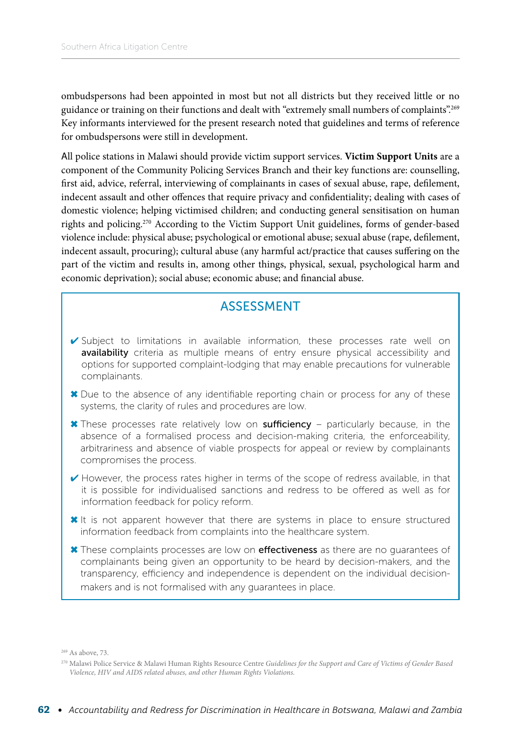ombudspersons had been appointed in most but not all districts but they received little or no guidance or training on their functions and dealt with "extremely small numbers of complaints".269 Key informants interviewed for the present research noted that guidelines and terms of reference for ombudspersons were still in development.

All police stations in Malawi should provide victim support services. **Victim Support Units** are a component of the Community Policing Services Branch and their key functions are: counselling, first aid, advice, referral, interviewing of complainants in cases of sexual abuse, rape, defilement, indecent assault and other offences that require privacy and confidentiality; dealing with cases of domestic violence; helping victimised children; and conducting general sensitisation on human rights and policing.270 According to the Victim Support Unit guidelines, forms of gender-based violence include: physical abuse; psychological or emotional abuse; sexual abuse (rape, defilement, indecent assault, procuring); cultural abuse (any harmful act/practice that causes suffering on the part of the victim and results in, among other things, physical, sexual, psychological harm and economic deprivation); social abuse; economic abuse; and financial abuse.

#### ASSESSMENT

- ✔ Subject to limitations in available information, these processes rate well on availability criteria as multiple means of entry ensure physical accessibility and options for supported complaint-lodging that may enable precautions for vulnerable complainants.
- ✖ Due to the absence of any identifiable reporting chain or process for any of these systems, the clarity of rules and procedures are low.
- ✖ These processes rate relatively low on sufficiency particularly because, in the absence of a formalised process and decision-making criteria, the enforceability, arbitrariness and absence of viable prospects for appeal or review by complainants compromises the process.
- $\checkmark$  However, the process rates higher in terms of the scope of redress available, in that it is possible for individualised sanctions and redress to be offered as well as for information feedback for policy reform.
- ✖ It is not apparent however that there are systems in place to ensure structured information feedback from complaints into the healthcare system.
- X These complaints processes are low on effectiveness as there are no guarantees of complainants being given an opportunity to be heard by decision-makers, and the transparency, efficiency and independence is dependent on the individual decisionmakers and is not formalised with any guarantees in place.

269 As above, 73.

<sup>270</sup> Malawi Police Service & Malawi Human Rights Resource Centre *Guidelines for the Support and Care of Victims of Gender Based Violence, HIV and AIDS related abuses, and other Human Rights Violations.*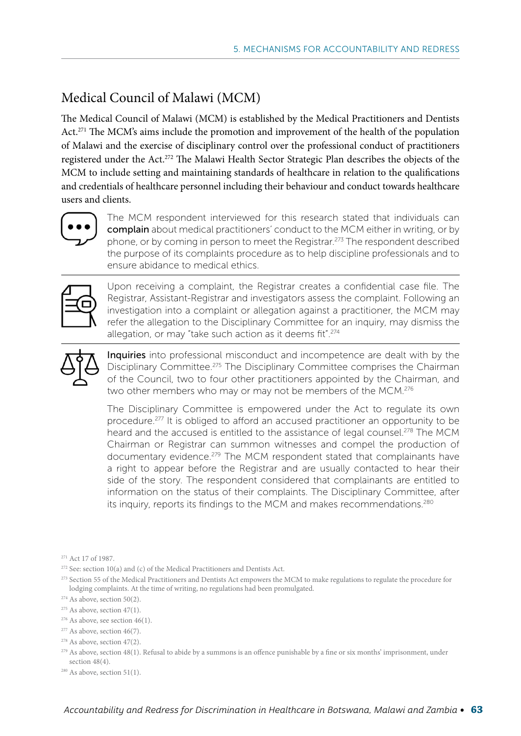# Medical Council of Malawi (MCM)

The Medical Council of Malawi (MCM) is established by the Medical Practitioners and Dentists Act.<sup>271</sup> The MCM's aims include the promotion and improvement of the health of the population of Malawi and the exercise of disciplinary control over the professional conduct of practitioners registered under the Act.272 The Malawi Health Sector Strategic Plan describes the objects of the MCM to include setting and maintaining standards of healthcare in relation to the qualifications and credentials of healthcare personnel including their behaviour and conduct towards healthcare users and clients.



The MCM respondent interviewed for this research stated that individuals can complain about medical practitioners' conduct to the MCM either in writing, or by phone, or by coming in person to meet the Registrar.<sup>273</sup> The respondent described the purpose of its complaints procedure as to help discipline professionals and to ensure abidance to medical ethics.



Upon receiving a complaint, the Registrar creates a confidential case file. The Registrar, Assistant-Registrar and investigators assess the complaint. Following an investigation into a complaint or allegation against a practitioner, the MCM may refer the allegation to the Disciplinary Committee for an inquiry, may dismiss the allegation, or may "take such action as it deems fit".274



Inquiries into professional misconduct and incompetence are dealt with by the Disciplinary Committee.275 The Disciplinary Committee comprises the Chairman of the Council, two to four other practitioners appointed by the Chairman, and two other members who may or may not be members of the MCM.<sup>276</sup>

The Disciplinary Committee is empowered under the Act to regulate its own procedure.<sup>277</sup> It is obliged to afford an accused practitioner an opportunity to be heard and the accused is entitled to the assistance of legal counsel.<sup>278</sup> The MCM Chairman or Registrar can summon witnesses and compel the production of documentary evidence.<sup>279</sup> The MCM respondent stated that complainants have a right to appear before the Registrar and are usually contacted to hear their side of the story. The respondent considered that complainants are entitled to information on the status of their complaints. The Disciplinary Committee, after its inquiry, reports its findings to the MCM and makes recommendations.<sup>280</sup>

<sup>273</sup> Section 55 of the Medical Practitioners and Dentists Act empowers the MCM to make regulations to regulate the procedure for lodging complaints. At the time of writing, no regulations had been promulgated.

- $276$  As above, see section 46(1).
- <sup>277</sup> As above, section 46(7).

- <sup>279</sup> As above, section 48(1). Refusal to abide by a summons is an offence punishable by a fine or six months' imprisonment, under section  $48(4)$ .
- $280$  As above, section 51(1).

<sup>271</sup> Act 17 of 1987.

<sup>&</sup>lt;sup>272</sup> See: section 10(a) and (c) of the Medical Practitioners and Dentists Act.

<sup>&</sup>lt;sup>274</sup> As above, section 50(2).

<sup>&</sup>lt;sup>275</sup> As above, section 47(1).

<sup>&</sup>lt;sup>278</sup> As above, section 47(2).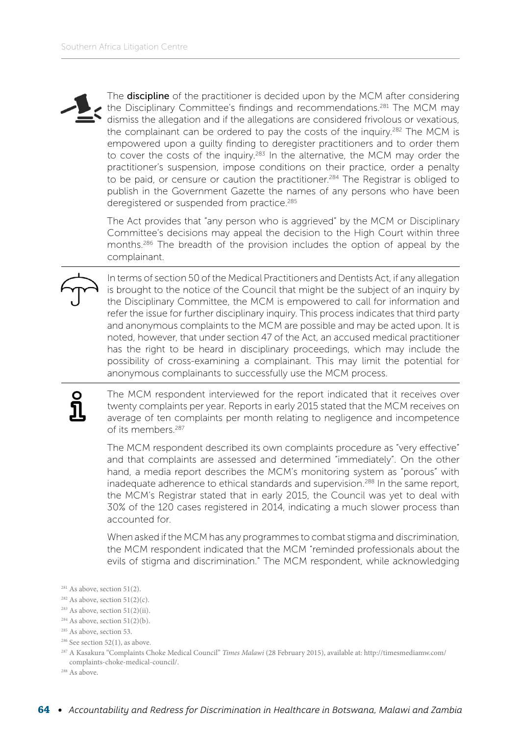The **discipline** of the practitioner is decided upon by the MCM after considering the Disciplinary Committee's findings and recommendations.<sup>281</sup> The MCM may dismiss the allegation and if the allegations are considered frivolous or vexatious, the complainant can be ordered to pay the costs of the inquiry.<sup>282</sup> The MCM is empowered upon a guilty finding to deregister practitioners and to order them to cover the costs of the inquiry.<sup>283</sup> In the alternative, the MCM may order the practitioner's suspension, impose conditions on their practice, order a penalty to be paid, or censure or caution the practitioner.<sup>284</sup> The Registrar is obliged to publish in the Government Gazette the names of any persons who have been deregistered or suspended from practice.<sup>285</sup>

The Act provides that "any person who is aggrieved" by the MCM or Disciplinary Committee's decisions may appeal the decision to the High Court within three months.286 The breadth of the provision includes the option of appeal by the complainant.

In terms of section 50 of the Medical Practitioners and Dentists Act, if any allegation is brought to the notice of the Council that might be the subject of an inquiry by the Disciplinary Committee, the MCM is empowered to call for information and refer the issue for further disciplinary inquiry. This process indicates that third party and anonymous complaints to the MCM are possible and may be acted upon. It is noted, however, that under section 47 of the Act, an accused medical practitioner has the right to be heard in disciplinary proceedings, which may include the possibility of cross-examining a complainant. This may limit the potential for anonymous complainants to successfully use the MCM process.

The MCM respondent interviewed for the report indicated that it receives over twenty complaints per year. Reports in early 2015 stated that the MCM receives on average of ten complaints per month relating to negligence and incompetence of its members<sup>287</sup>

The MCM respondent described its own complaints procedure as "very effective" and that complaints are assessed and determined "immediately". On the other hand, a media report describes the MCM's monitoring system as "porous" with inadequate adherence to ethical standards and supervision.288 In the same report, the MCM's Registrar stated that in early 2015, the Council was yet to deal with 30% of the 120 cases registered in 2014, indicating a much slower process than accounted for.

When asked if the MCM has any programmes to combat stigma and discrimination, the MCM respondent indicated that the MCM "reminded professionals about the evils of stigma and discrimination." The MCM respondent, while acknowledging

- $281$  As above, section 51(2).
- <sup>282</sup> As above, section  $51(2)(c)$ .
- $283$  As above, section  $51(2)(ii)$ .
- $284$  As above, section  $51(2)(b)$ .

<sup>287</sup> A Kasakura "Complaints Choke Medical Council" *Times Malawi* (28 February 2015), available at: http://timesmediamw.com/ complaints-choke-medical-council/.

<sup>288</sup> As above.

<sup>&</sup>lt;sup>285</sup> As above, section 53.

 $286$  See section 52(1), as above.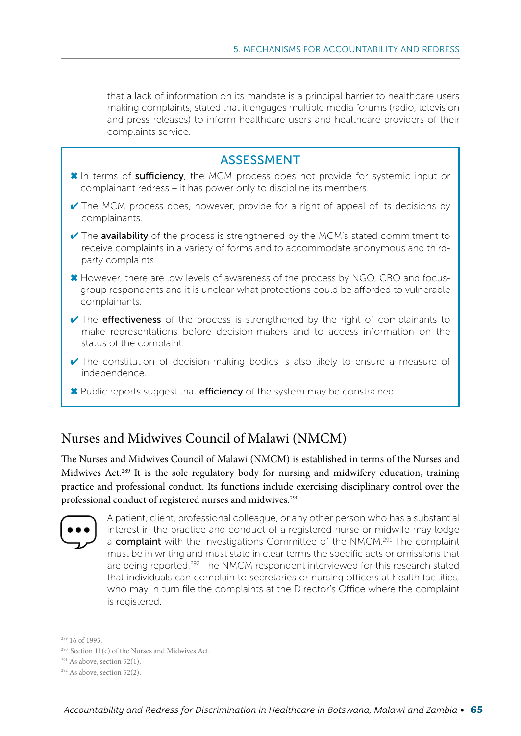that a lack of information on its mandate is a principal barrier to healthcare users making complaints, stated that it engages multiple media forums (radio, television and press releases) to inform healthcare users and healthcare providers of their complaints service.



#### Nurses and Midwives Council of Malawi (NMCM)

The Nurses and Midwives Council of Malawi (NMCM) is established in terms of the Nurses and Midwives Act.289 It is the sole regulatory body for nursing and midwifery education, training practice and professional conduct. Its functions include exercising disciplinary control over the professional conduct of registered nurses and midwives.<sup>290</sup>



A patient, client, professional colleague, or any other person who has a substantial interest in the practice and conduct of a registered nurse or midwife may lodge a complaint with the Investigations Committee of the NMCM.<sup>291</sup> The complaint must be in writing and must state in clear terms the specific acts or omissions that are being reported.<sup>292</sup> The NMCM respondent interviewed for this research stated that individuals can complain to secretaries or nursing officers at health facilities, who may in turn file the complaints at the Director's Office where the complaint is registered.

289 16 of 1995.

- $290$  Section 11(c) of the Nurses and Midwives Act.
- $291$  As above, section 52(1).

 $292$  As above, section 52(2).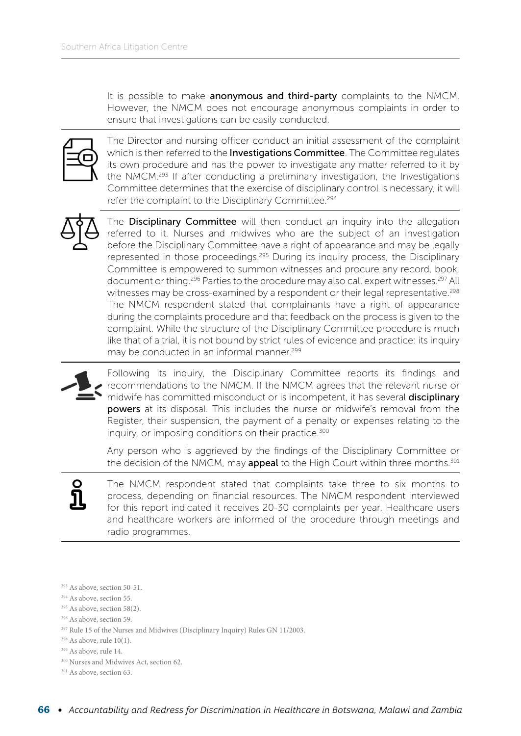It is possible to make **anonymous and third-party** complaints to the NMCM. However, the NMCM does not encourage anonymous complaints in order to ensure that investigations can be easily conducted.



The Director and nursing officer conduct an initial assessment of the complaint which is then referred to the Investigations Committee. The Committee regulates its own procedure and has the power to investigate any matter referred to it by the NMCM.293 If after conducting a preliminary investigation, the Investigations Committee determines that the exercise of disciplinary control is necessary, it will refer the complaint to the Disciplinary Committee.<sup>294</sup>



The Disciplinary Committee will then conduct an inquiry into the allegation referred to it. Nurses and midwives who are the subject of an investigation before the Disciplinary Committee have a right of appearance and may be legally represented in those proceedings.<sup>295</sup> During its inquiry process, the Disciplinary Committee is empowered to summon witnesses and procure any record, book, document or thing.<sup>296</sup> Parties to the procedure may also call expert witnesses.<sup>297</sup> All witnesses may be cross-examined by a respondent or their legal representative.<sup>298</sup> The NMCM respondent stated that complainants have a right of appearance during the complaints procedure and that feedback on the process is given to the complaint. While the structure of the Disciplinary Committee procedure is much like that of a trial, it is not bound by strict rules of evidence and practice: its inquiry may be conducted in an informal manner.<sup>299</sup>



Following its inquiry, the Disciplinary Committee reports its findings and recommendations to the NMCM. If the NMCM agrees that the relevant nurse or midwife has committed misconduct or is incompetent, it has several disciplinary powers at its disposal. This includes the nurse or midwife's removal from the Register, their suspension, the payment of a penalty or expenses relating to the inquiry, or imposing conditions on their practice.<sup>300</sup>

Any person who is aggrieved by the findings of the Disciplinary Committee or the decision of the NMCM, may appeal to the High Court within three months.<sup>301</sup>



The NMCM respondent stated that complaints take three to six months to process, depending on financial resources. The NMCM respondent interviewed for this report indicated it receives 20-30 complaints per year. Healthcare users and healthcare workers are informed of the procedure through meetings and radio programmes.

293 As above, section 50-51.

- <sup>294</sup> As above, section 55.
- $295$  As above, section 58(2).
- 296 As above, section 59.
- 297 Rule 15 of the Nurses and Midwives (Disciplinary Inquiry) Rules GN 11/2003.
- $298$  As above, rule 10(1).
- 299 As above, rule 14.
- 300 Nurses and Midwives Act, section 62.
- <sup>301</sup> As above, section 63.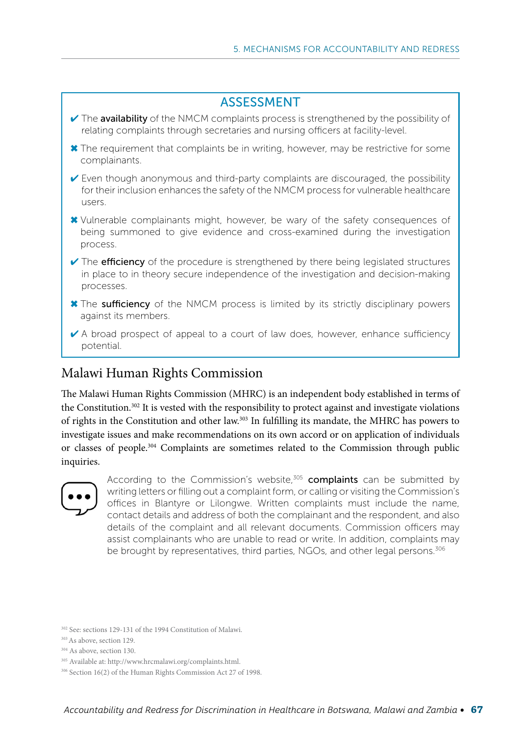

#### Malawi Human Rights Commission

The Malawi Human Rights Commission (MHRC) is an independent body established in terms of the Constitution.302 It is vested with the responsibility to protect against and investigate violations of rights in the Constitution and other law.303 In fulfilling its mandate, the MHRC has powers to investigate issues and make recommendations on its own accord or on application of individuals or classes of people.304 Complaints are sometimes related to the Commission through public inquiries.



According to the Commission's website, $305$  complaints can be submitted by writing letters or filling out a complaint form, or calling or visiting the Commission's offices in Blantyre or Lilongwe. Written complaints must include the name, contact details and address of both the complainant and the respondent, and also details of the complaint and all relevant documents. Commission officers may assist complainants who are unable to read or write. In addition, complaints may be brought by representatives, third parties, NGOs, and other legal persons.<sup>306</sup>

302 See: sections 129-131 of the 1994 Constitution of Malawi.

303 As above, section 129.

<sup>304</sup> As above, section 130.

<sup>305</sup> Available at: http://www.hrcmalawi.org/complaints.html.

<sup>306</sup> Section 16(2) of the Human Rights Commission Act 27 of 1998.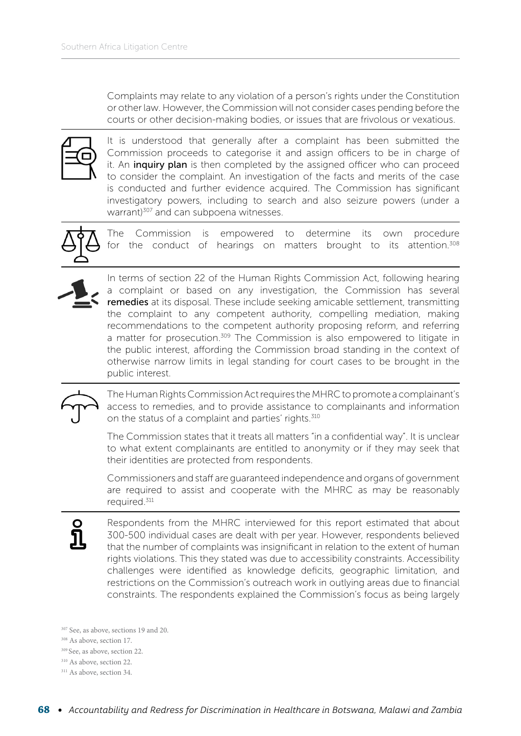Complaints may relate to any violation of a person's rights under the Constitution or other law. However, the Commission will not consider cases pending before the courts or other decision-making bodies, or issues that are frivolous or vexatious.



It is understood that generally after a complaint has been submitted the Commission proceeds to categorise it and assign officers to be in charge of it. An *inquiry plan* is then completed by the assigned officer who can proceed to consider the complaint. An investigation of the facts and merits of the case is conducted and further evidence acquired. The Commission has significant investigatory powers, including to search and also seizure powers (under a warrant)<sup>307</sup> and can subpoena witnesses.



The Commission is empowered to determine its own procedure for the conduct of hearings on matters brought to its attention.<sup>308</sup>



In terms of section 22 of the Human Rights Commission Act, following hearing a complaint or based on any investigation, the Commission has several remedies at its disposal. These include seeking amicable settlement, transmitting the complaint to any competent authority, compelling mediation, making recommendations to the competent authority proposing reform, and referring a matter for prosecution.<sup>309</sup> The Commission is also empowered to litigate in the public interest, affording the Commission broad standing in the context of otherwise narrow limits in legal standing for court cases to be brought in the public interest.



The Human Rights Commission Act requires the MHRC to promote a complainant's access to remedies, and to provide assistance to complainants and information on the status of a complaint and parties' rights.<sup>310</sup>

The Commission states that it treats all matters "in a confidential way". It is unclear to what extent complainants are entitled to anonymity or if they may seek that their identities are protected from respondents.

Commissioners and staff are guaranteed independence and organs of government are required to assist and cooperate with the MHRC as may be reasonably required.311

Respondents from the MHRC interviewed for this report estimated that about 300-500 individual cases are dealt with per year. However, respondents believed that the number of complaints was insignificant in relation to the extent of human rights violations. This they stated was due to accessibility constraints. Accessibility challenges were identified as knowledge deficits, geographic limitation, and restrictions on the Commission's outreach work in outlying areas due to financial constraints. The respondents explained the Commission's focus as being largely

<sup>307</sup> See, as above, sections 19 and 20.

- 308 As above, section 17.
- 309 See, as above, section 22.
- 310 As above, section 22.

<sup>311</sup> As above, section 34.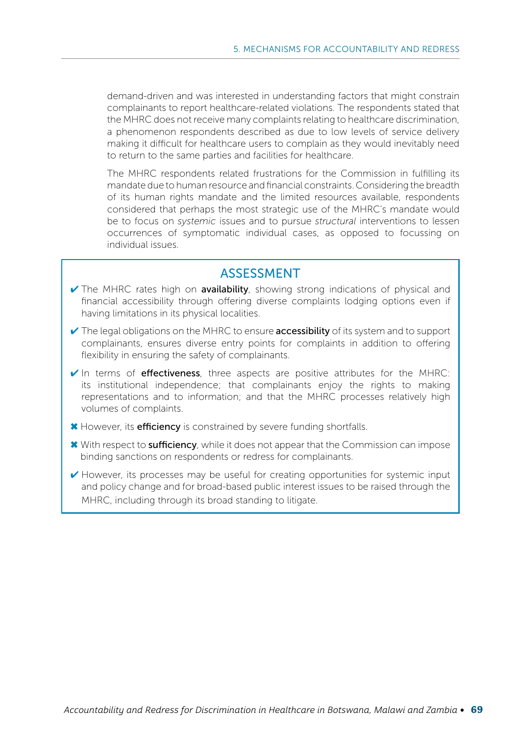demand-driven and was interested in understanding factors that might constrain complainants to report healthcare-related violations. The respondents stated that the MHRC does not receive many complaints relating to healthcare discrimination, a phenomenon respondents described as due to low levels of service delivery making it difficult for healthcare users to complain as they would inevitably need to return to the same parties and facilities for healthcare.

The MHRC respondents related frustrations for the Commission in fulfilling its mandate due to human resource and financial constraints. Considering the breadth of its human rights mandate and the limited resources available, respondents considered that perhaps the most strategic use of the MHRC's mandate would be to focus on *systemic* issues and to pursue *structural* interventions to lessen occurrences of symptomatic individual cases, as opposed to focussing on individual issues.

#### ASSESSMENT

- ✔ The MHRC rates high on availability, showing strong indications of physical and financial accessibility through offering diverse complaints lodging options even if having limitations in its physical localities.
- $\vee$  The legal obligations on the MHRC to ensure **accessibility** of its system and to support complainants, ensures diverse entry points for complaints in addition to offering flexibility in ensuring the safety of complainants.
- $\checkmark$  In terms of **effectiveness**, three aspects are positive attributes for the MHRC: its institutional independence; that complainants enjoy the rights to making representations and to information; and that the MHRC processes relatively high volumes of complaints.
- **\*** However, its **efficiency** is constrained by severe funding shortfalls.
- ✖ With respect to sufficiency, while it does not appear that the Commission can impose binding sanctions on respondents or redress for complainants.
- ✔ However, its processes may be useful for creating opportunities for systemic input and policy change and for broad-based public interest issues to be raised through the MHRC, including through its broad standing to litigate.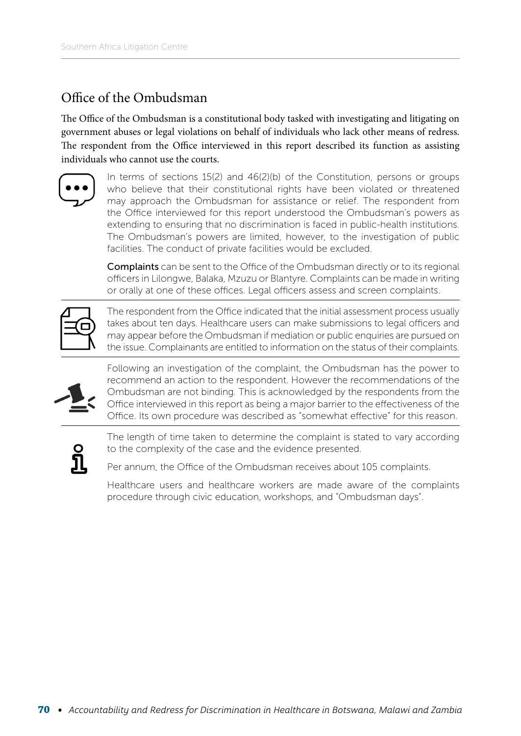### Office of the Ombudsman

The Office of the Ombudsman is a constitutional body tasked with investigating and litigating on government abuses or legal violations on behalf of individuals who lack other means of redress. The respondent from the Office interviewed in this report described its function as assisting individuals who cannot use the courts.



In terms of sections 15(2) and 46(2)(b) of the Constitution, persons or groups who believe that their constitutional rights have been violated or threatened may approach the Ombudsman for assistance or relief. The respondent from the Office interviewed for this report understood the Ombudsman's powers as extending to ensuring that no discrimination is faced in public-health institutions. The Ombudsman's powers are limited, however, to the investigation of public facilities. The conduct of private facilities would be excluded.

Complaints can be sent to the Office of the Ombudsman directly or to its regional officers in Lilongwe, Balaka, Mzuzu or Blantyre. Complaints can be made in writing or orally at one of these offices. Legal officers assess and screen complaints.

The respondent from the Office indicated that the initial assessment process usually takes about ten days. Healthcare users can make submissions to legal officers and may appear before the Ombudsman if mediation or public enquiries are pursued on the issue. Complainants are entitled to information on the status of their complaints.



Following an investigation of the complaint, the Ombudsman has the power to recommend an action to the respondent. However the recommendations of the Ombudsman are not binding. This is acknowledged by the respondents from the Office interviewed in this report as being a major barrier to the effectiveness of the Office. Its own procedure was described as "somewhat effective" for this reason.



The length of time taken to determine the complaint is stated to vary according to the complexity of the case and the evidence presented.

Per annum, the Office of the Ombudsman receives about 105 complaints.

Healthcare users and healthcare workers are made aware of the complaints procedure through civic education, workshops, and "Ombudsman days".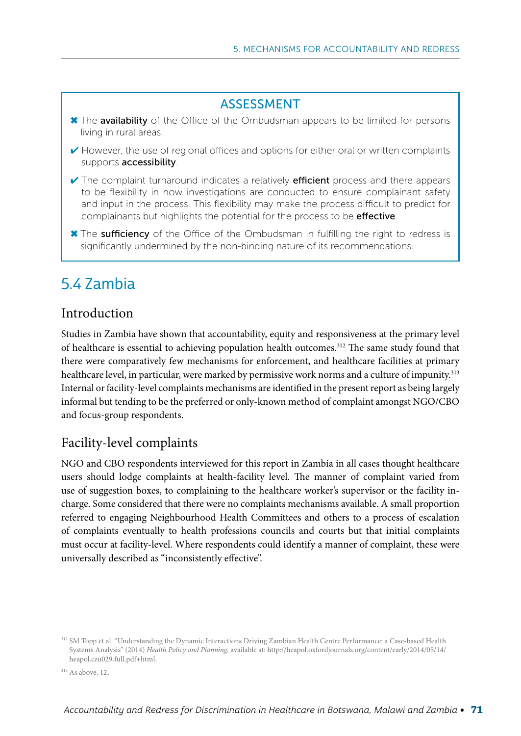#### ASSESSMENT

- ✖ The availability of the Office of the Ombudsman appears to be limited for persons living in rural areas.
- ✔ However, the use of regional offices and options for either oral or written complaints supports accessibility.
- $\vee$  The complaint turnaround indicates a relatively **efficient** process and there appears to be flexibility in how investigations are conducted to ensure complainant safety and input in the process. This flexibility may make the process difficult to predict for complainants but highlights the potential for the process to be effective.
- ✖ The sufficiency of the Office of the Ombudsman in fulfilling the right to redress is significantly undermined by the non-binding nature of its recommendations.

# 5.4 Zambia

#### Introduction

Studies in Zambia have shown that accountability, equity and responsiveness at the primary level of healthcare is essential to achieving population health outcomes.312 The same study found that there were comparatively few mechanisms for enforcement, and healthcare facilities at primary healthcare level, in particular, were marked by permissive work norms and a culture of impunity.<sup>313</sup> Internal or facility-level complaints mechanisms are identified in the present report as being largely informal but tending to be the preferred or only-known method of complaint amongst NGO/CBO and focus-group respondents.

#### Facility-level complaints

NGO and CBO respondents interviewed for this report in Zambia in all cases thought healthcare users should lodge complaints at health-facility level. The manner of complaint varied from use of suggestion boxes, to complaining to the healthcare worker's supervisor or the facility incharge. Some considered that there were no complaints mechanisms available. A small proportion referred to engaging Neighbourhood Health Committees and others to a process of escalation of complaints eventually to health professions councils and courts but that initial complaints must occur at facility-level. Where respondents could identify a manner of complaint, these were universally described as "inconsistently effective".

<sup>312</sup> SM Topp et al. "Understanding the Dynamic Interactions Driving Zambian Health Centre Performance: a Case-based Health Systems Analysis" (2014) *Health Policy and Planning*, available at: [http://heapol.oxfordjournals.org/content/early/2014/05/14/](http://heapol.oxfordjournals.org/content/early/2014/05/14/heapol.czu029.full.pdf+html) [heapol.czu029.full.pdf+html.](http://heapol.oxfordjournals.org/content/early/2014/05/14/heapol.czu029.full.pdf+html)

<sup>313</sup> As above, 12.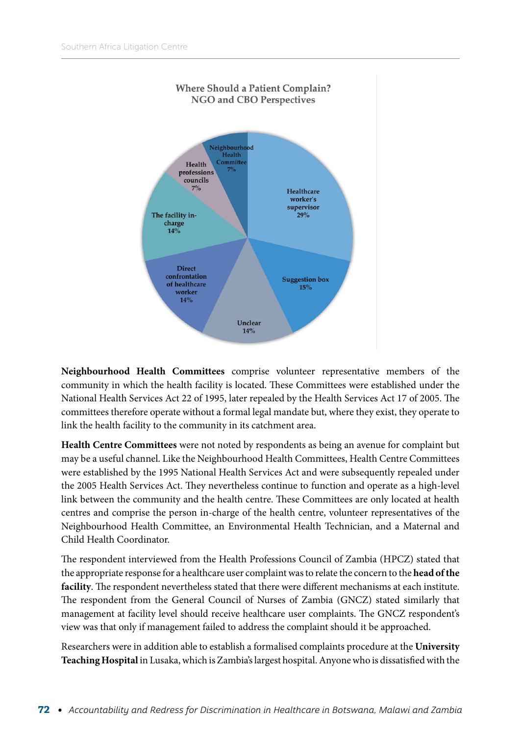

**Neighbourhood Health Committees** comprise volunteer representative members of the community in which the health facility is located. These Committees were established under the National Health Services Act 22 of 1995, later repealed by the Health Services Act 17 of 2005. The committees therefore operate without a formal legal mandate but, where they exist, they operate to link the health facility to the community in its catchment area.

**Health Centre Committees** were not noted by respondents as being an avenue for complaint but may be a useful channel. Like the Neighbourhood Health Committees, Health Centre Committees were established by the 1995 National Health Services Act and were subsequently repealed under the 2005 Health Services Act. They nevertheless continue to function and operate as a high-level link between the community and the health centre. These Committees are only located at health centres and comprise the person in-charge of the health centre, volunteer representatives of the Neighbourhood Health Committee, an Environmental Health Technician, and a Maternal and Child Health Coordinator.

The respondent interviewed from the Health Professions Council of Zambia (HPCZ) stated that the appropriate response for a healthcare user complaint was to relate the concern to the **head of the facility**. The respondent nevertheless stated that there were different mechanisms at each institute. The respondent from the General Council of Nurses of Zambia (GNCZ) stated similarly that management at facility level should receive healthcare user complaints. The GNCZ respondent's view was that only if management failed to address the complaint should it be approached.

Researchers were in addition able to establish a formalised complaints procedure at the **University Teaching Hospital** in Lusaka, which is Zambia's largest hospital. Anyone who is dissatisfied with the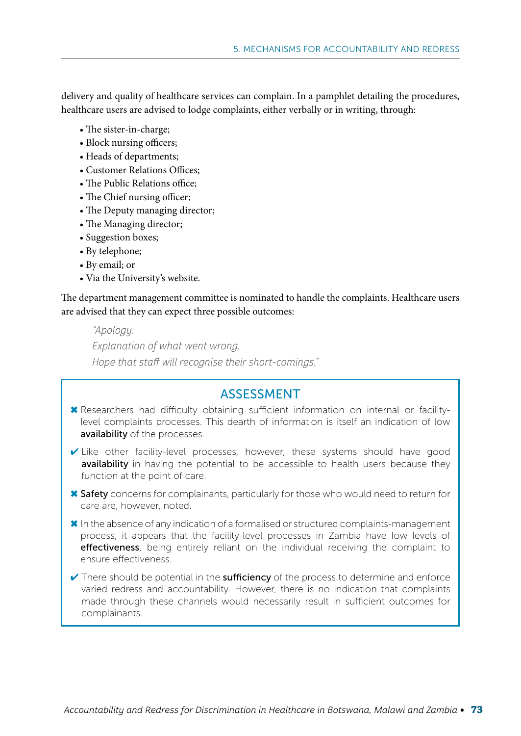delivery and quality of healthcare services can complain. In a pamphlet detailing the procedures, healthcare users are advised to lodge complaints, either verbally or in writing, through:

- The sister-in-charge;
- Block nursing officers;
- Heads of departments;
- Customer Relations Offices;
- The Public Relations office;
- The Chief nursing officer;
- The Deputy managing director;
- The Managing director;
- Suggestion boxes;
- By telephone;
- By email; or
- Via the University's website.

The department management committee is nominated to handle the complaints. Healthcare users are advised that they can expect three possible outcomes:

#### "Apology.

Explanation of what went wrong. Hope that staff will recognise their short-comings."

#### ASSESSMENT

- ✖ Researchers had difficulty obtaining sufficient information on internal or facilitylevel complaints processes. This dearth of information is itself an indication of low availability of the processes.
- ✔ Like other facility-level processes, however, these systems should have good availability in having the potential to be accessible to health users because they function at the point of care.
- ✖ Safety concerns for complainants, particularly for those who would need to return for care are, however, noted.
- ✖ In the absence of any indication of a formalised or structured complaints-management process, it appears that the facility-level processes in Zambia have low levels of effectiveness, being entirely reliant on the individual receiving the complaint to ensure effectiveness.
- $\checkmark$  There should be potential in the sufficiency of the process to determine and enforce varied redress and accountability. However, there is no indication that complaints made through these channels would necessarily result in sufficient outcomes for complainants.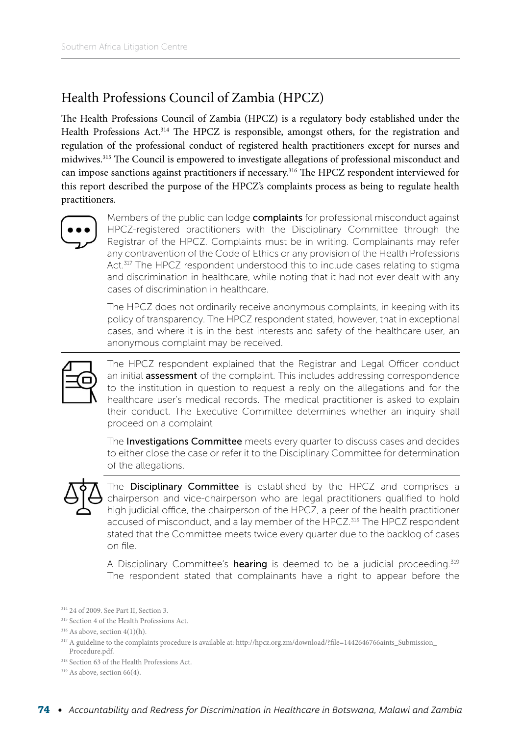### Health Professions Council of Zambia (HPCZ)

The Health Professions Council of Zambia (HPCZ) is a regulatory body established under the Health Professions Act.314 The HPCZ is responsible, amongst others, for the registration and regulation of the professional conduct of registered health practitioners except for nurses and midwives.315 The Council is empowered to investigate allegations of professional misconduct and can impose sanctions against practitioners if necessary.316 The HPCZ respondent interviewed for this report described the purpose of the HPCZ's complaints process as being to regulate health practitioners.



Members of the public can lodge **complaints** for professional misconduct against HPCZ-registered practitioners with the Disciplinary Committee through the Registrar of the HPCZ. Complaints must be in writing. Complainants may refer any contravention of the Code of Ethics or any provision of the Health Professions Act.317 The HPCZ respondent understood this to include cases relating to stigma and discrimination in healthcare, while noting that it had not ever dealt with any cases of discrimination in healthcare.

The HPCZ does not ordinarily receive anonymous complaints, in keeping with its policy of transparency. The HPCZ respondent stated, however, that in exceptional cases, and where it is in the best interests and safety of the healthcare user, an anonymous complaint may be received.



The HPCZ respondent explained that the Registrar and Legal Officer conduct an initial **assessment** of the complaint. This includes addressing correspondence to the institution in question to request a reply on the allegations and for the healthcare user's medical records. The medical practitioner is asked to explain their conduct. The Executive Committee determines whether an inquiry shall proceed on a complaint

The **Investigations Committee** meets every quarter to discuss cases and decides to either close the case or refer it to the Disciplinary Committee for determination of the allegations.



The Disciplinary Committee is established by the HPCZ and comprises a chairperson and vice-chairperson who are legal practitioners qualified to hold high judicial office, the chairperson of the HPCZ, a peer of the health practitioner accused of misconduct, and a lay member of the HPCZ.<sup>318</sup> The HPCZ respondent stated that the Committee meets twice every quarter due to the backlog of cases on file.

A Disciplinary Committee's hearing is deemed to be a judicial proceeding.<sup>319</sup> The respondent stated that complainants have a right to appear before the

- <sup>317</sup> A guideline to the complaints procedure is available at: http://hpcz.org.zm/download/?file=1442646766aints\_Submission Procedure.pdf.
- 318 Section 63 of the Health Professions Act.

<sup>314 24</sup> of 2009. See Part II, Section 3.

<sup>&</sup>lt;sup>315</sup> Section 4 of the Health Professions Act.

<sup>316</sup> As above, section 4(1)(h).

<sup>319</sup> As above, section 66(4).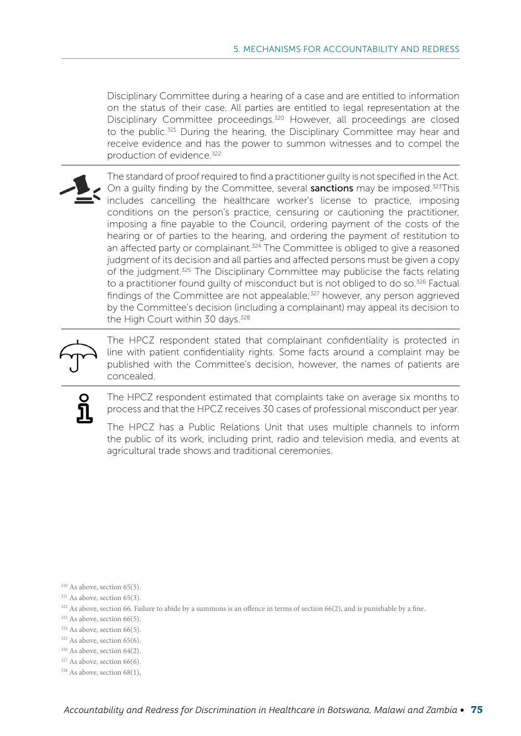Disciplinary Committee during a hearing of a case and are entitled to information on the status of their case. All parties are entitled to legal representation at the Disciplinary Committee proceedings.<sup>320</sup> However, all proceedings are closed to the public.<sup>321</sup> During the hearing, the Disciplinary Committee may hear and receive evidence and has the power to summon witnesses and to compel the production of evidence 322

The standard of proof required to find a practitioner guilty is not specified in the Act. On a quilty finding by the Committee, several **sanctions** may be imposed.<sup>323</sup>This includes cancelling the healthcare worker's license to practice, imposing conditions on the person's practice, censuring or cautioning the practitioner, imposing a fine payable to the Council, ordering payment of the costs of the hearing or of parties to the hearing, and ordering the payment of restitution to an affected party or complainant.<sup>324</sup> The Committee is obliged to give a reasoned judgment of its decision and all parties and affected persons must be given a copy of the judgment.<sup>325</sup> The Disciplinary Committee may publicise the facts relating to a practitioner found quilty of misconduct but is not obliged to do so.<sup>326</sup> Factual findings of the Committee are not appealable; $327$  however, any person aggrieved by the Committee's decision (including a complainant) may appeal its decision to the High Court within 30 days.<sup>328</sup>



The HPCZ respondent stated that complainant confidentiality is protected in line with patient confidentiality rights. Some facts around a complaint may be published with the Committee's decision, however, the names of patients are concealed.



The HPCZ respondent estimated that complaints take on average six months to process and that the HPCZ receives 30 cases of professional misconduct per year.

The HPCZ has a Public Relations Unit that uses multiple channels to inform the public of its work, including print, radio and television media, and events at agricultural trade shows and traditional ceremonies.

- <sup>320</sup> As above, section 65(5).
- <sup>321</sup> As above, section 65(3).
- <sup>322</sup> As above, section 66. Failure to abide by a summons is an offence in terms of section 66(2), and is punishable by a fine.
- <sup>323</sup> As above, section 66(5).
- <sup>324</sup> As above, section 66(5).
- <sup>325</sup> As above, section 65(6).
- 326 As above, section 64(2).
- <sup>327</sup> As above, section 66(6).
- 328 As above, section 68(1),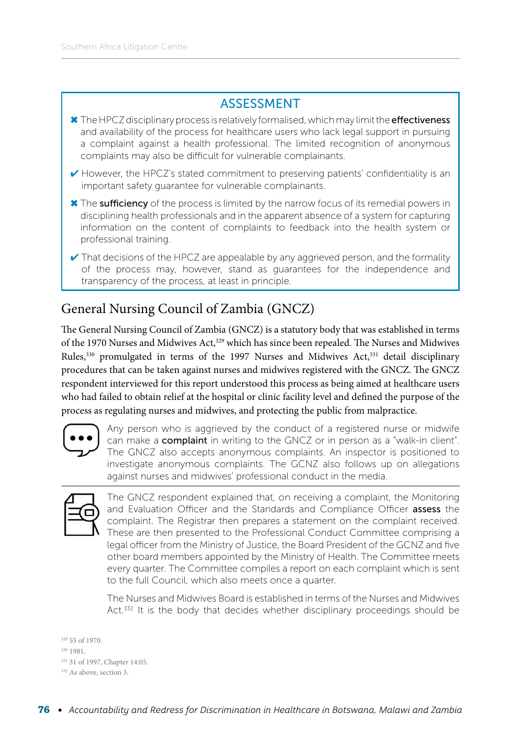#### ASSESSMENT

- **<u></u> ≭** The HPCZ disciplinary process is relatively formalised, which may limit the effectiveness and availability of the process for healthcare users who lack legal support in pursuing a complaint against a health professional. The limited recognition of anonymous complaints may also be difficult for vulnerable complainants.
- $\checkmark$  However, the HPCZ's stated commitment to preserving patients' confidentiality is an important safety guarantee for vulnerable complainants.
- ✖ The sufficiency of the process is limited by the narrow focus of its remedial powers in disciplining health professionals and in the apparent absence of a system for capturing information on the content of complaints to feedback into the health system or professional training.
- $\checkmark$  That decisions of the HPCZ are appealable by any aggrieved person, and the formality of the process may, however, stand as guarantees for the independence and transparency of the process, at least in principle.

## General Nursing Council of Zambia (GNCZ)

The General Nursing Council of Zambia (GNCZ) is a statutory body that was established in terms of the 1970 Nurses and Midwives Act,<sup>329</sup> which has since been repealed. The Nurses and Midwives Rules,<sup>330</sup> promulgated in terms of the 1997 Nurses and Midwives Act,<sup>331</sup> detail disciplinary procedures that can be taken against nurses and midwives registered with the GNCZ. The GNCZ respondent interviewed for this report understood this process as being aimed at healthcare users who had failed to obtain relief at the hospital or clinic facility level and defined the purpose of the process as regulating nurses and midwives, and protecting the public from malpractice.



Any person who is aggrieved by the conduct of a registered nurse or midwife can make a **complaint** in writing to the GNCZ or in person as a "walk-in client". The GNCZ also accepts anonymous complaints. An inspector is positioned to investigate anonymous complaints. The GCNZ also follows up on allegations against nurses and midwives' professional conduct in the media.



The GNCZ respondent explained that, on receiving a complaint, the Monitoring and Evaluation Officer and the Standards and Compliance Officer assess the complaint. The Registrar then prepares a statement on the complaint received. These are then presented to the Professional Conduct Committee comprising a legal officer from the Ministry of Justice, the Board President of the GCNZ and five other board members appointed by the Ministry of Health. The Committee meets every quarter. The Committee compiles a report on each complaint which is sent to the full Council, which also meets once a quarter.

The Nurses and Midwives Board is established in terms of the Nurses and Midwives Act.<sup>332</sup> It is the body that decides whether disciplinary proceedings should be

329 55 of 1970.

- 330 1981.
- 331 31 of 1997, Chapter 14:05.

332 As above, section 3.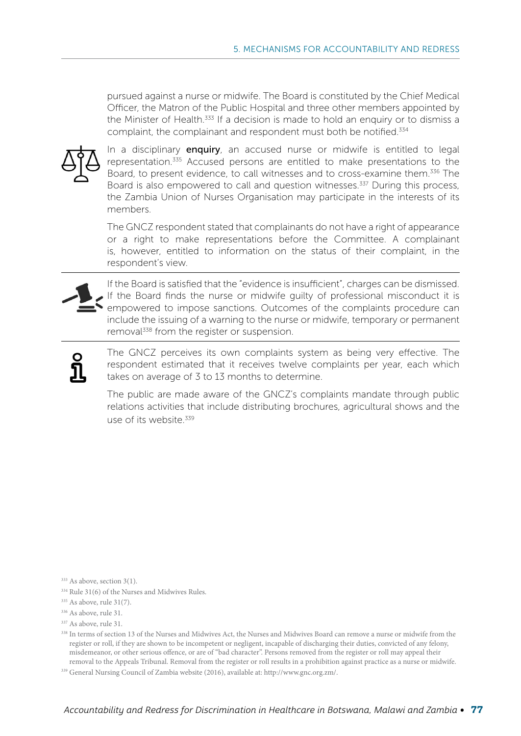pursued against a nurse or midwife. The Board is constituted by the Chief Medical Officer, the Matron of the Public Hospital and three other members appointed by the Minister of Health.<sup>333</sup> If a decision is made to hold an enquiry or to dismiss a complaint, the complainant and respondent must both be notified.<sup>334</sup>



In a disciplinary enquiry, an accused nurse or midwife is entitled to legal representation.335 Accused persons are entitled to make presentations to the Board, to present evidence, to call witnesses and to cross-examine them.<sup>336</sup> The Board is also empowered to call and question witnesses.<sup>337</sup> During this process, the Zambia Union of Nurses Organisation may participate in the interests of its members.

The GNCZ respondent stated that complainants do not have a right of appearance or a right to make representations before the Committee. A complainant is, however, entitled to information on the status of their complaint, in the respondent's view.



If the Board is satisfied that the "evidence is insufficient", charges can be dismissed. If the Board finds the nurse or midwife guilty of professional misconduct it is empowered to impose sanctions. Outcomes of the complaints procedure can include the issuing of a warning to the nurse or midwife, temporary or permanent removal<sup>338</sup> from the register or suspension.

The GNCZ perceives its own complaints system as being very effective. The respondent estimated that it receives twelve complaints per year, each which takes on average of 3 to 13 months to determine.

The public are made aware of the GNCZ's complaints mandate through public relations activities that include distributing brochures, agricultural shows and the use of its website<sup>339</sup>

<sup>333</sup> As above, section 3(1).

<sup>334</sup> Rule 31(6) of the Nurses and Midwives Rules.

335 As above, rule 31(7).

336 As above, rule 31.

337 As above, rule 31.

<sup>&</sup>lt;sup>338</sup> In terms of section 13 of the Nurses and Midwives Act, the Nurses and Midwives Board can remove a nurse or midwife from the register or roll, if they are shown to be incompetent or negligent, incapable of discharging their duties, convicted of any felony, misdemeanor, or other serious offence, or are of "bad character". Persons removed from the register or roll may appeal their removal to the Appeals Tribunal. Removal from the register or roll results in a prohibition against practice as a nurse or midwife.

<sup>339</sup> General Nursing Council of Zambia website (2016), available at: http://www.gnc.org.zm/.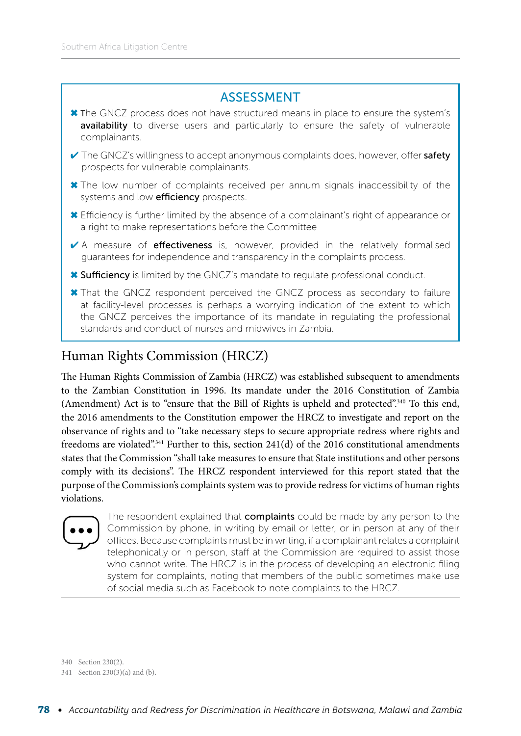#### ASSESSMENT

- ✖ The GNCZ process does not have structured means in place to ensure the system's availability to diverse users and particularly to ensure the safety of vulnerable complainants.
- $\vee$  The GNCZ's willingness to accept anonymous complaints does, however, offer safety prospects for vulnerable complainants.
- ✖ The low number of complaints received per annum signals inaccessibility of the systems and low **efficiency** prospects.
- ✖ Efficiency is further limited by the absence of a complainant's right of appearance or a right to make representations before the Committee
- ✔ A measure of effectiveness is, however, provided in the relatively formalised guarantees for independence and transparency in the complaints process.
- ✖ Sufficiency is limited by the GNCZ's mandate to regulate professional conduct.
- ✖ That the GNCZ respondent perceived the GNCZ process as secondary to failure at facility-level processes is perhaps a worrying indication of the extent to which the GNCZ perceives the importance of its mandate in regulating the professional standards and conduct of nurses and midwives in Zambia.

#### Human Rights Commission (HRCZ)

The Human Rights Commission of Zambia (HRCZ) was established subsequent to amendments to the Zambian Constitution in 1996. Its mandate under the 2016 Constitution of Zambia (Amendment) Act is to "ensure that the Bill of Rights is upheld and protected".340 To this end, the 2016 amendments to the Constitution empower the HRCZ to investigate and report on the observance of rights and to "take necessary steps to secure appropriate redress where rights and freedoms are violated".341 Further to this, section 241(d) of the 2016 constitutional amendments states that the Commission "shall take measures to ensure that State institutions and other persons comply with its decisions". The HRCZ respondent interviewed for this report stated that the purpose of the Commission's complaints system was to provide redress for victims of human rights violations.



The respondent explained that **complaints** could be made by any person to the Commission by phone, in writing by email or letter, or in person at any of their offices. Because complaints must be in writing, if a complainant relates a complaint telephonically or in person, staff at the Commission are required to assist those who cannot write. The HRCZ is in the process of developing an electronic filing system for complaints, noting that members of the public sometimes make use of social media such as Facebook to note complaints to the HRCZ.

340 Section 230(2).

<sup>341</sup> Section 230(3)(a) and (b).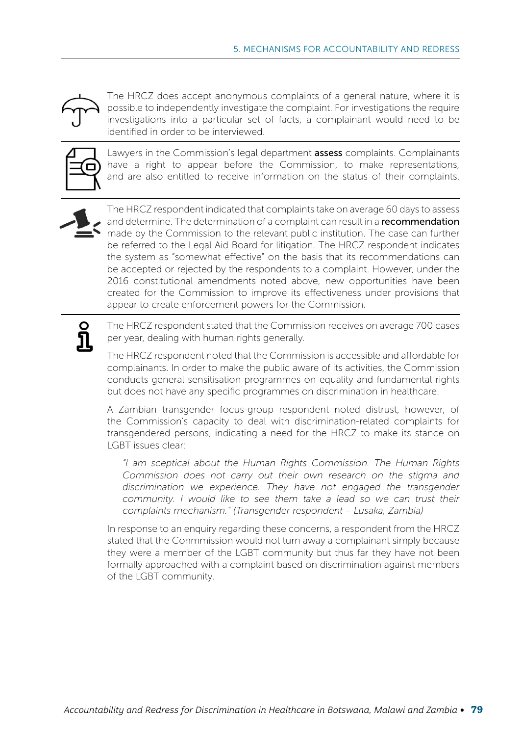

The HRCZ does accept anonymous complaints of a general nature, where it is possible to independently investigate the complaint. For investigations the require investigations into a particular set of facts, a complainant would need to be identified in order to be interviewed.



Lawyers in the Commission's legal department **assess** complaints. Complainants have a right to appear before the Commission, to make representations, and are also entitled to receive information on the status of their complaints.



The HRCZ respondent indicated that complaints take on average 60 days to assess and determine. The determination of a complaint can result in a recommendation made by the Commission to the relevant public institution. The case can further be referred to the Legal Aid Board for litigation. The HRCZ respondent indicates the system as "somewhat effective" on the basis that its recommendations can be accepted or rejected by the respondents to a complaint. However, under the 2016 constitutional amendments noted above, new opportunities have been created for the Commission to improve its effectiveness under provisions that appear to create enforcement powers for the Commission.



The HRCZ respondent stated that the Commission receives on average 700 cases per year, dealing with human rights generally.

The HRCZ respondent noted that the Commission is accessible and affordable for complainants. In order to make the public aware of its activities, the Commission conducts general sensitisation programmes on equality and fundamental rights but does not have any specific programmes on discrimination in healthcare.

A Zambian transgender focus-group respondent noted distrust, however, of the Commission's capacity to deal with discrimination-related complaints for transgendered persons, indicating a need for the HRCZ to make its stance on LGBT issues clear:

*"I am sceptical about the Human Rights Commission. The Human Rights Commission does not carry out their own research on the stigma and discrimination we experience. They have not engaged the transgender community. I would like to see them take a lead so we can trust their complaints mechanism." (Transgender respondent – Lusaka, Zambia)*

In response to an enquiry regarding these concerns, a respondent from the HRCZ stated that the Conmmission would not turn away a complainant simply because they were a member of the LGBT community but thus far they have not been formally approached with a complaint based on discrimination against members of the LGBT community.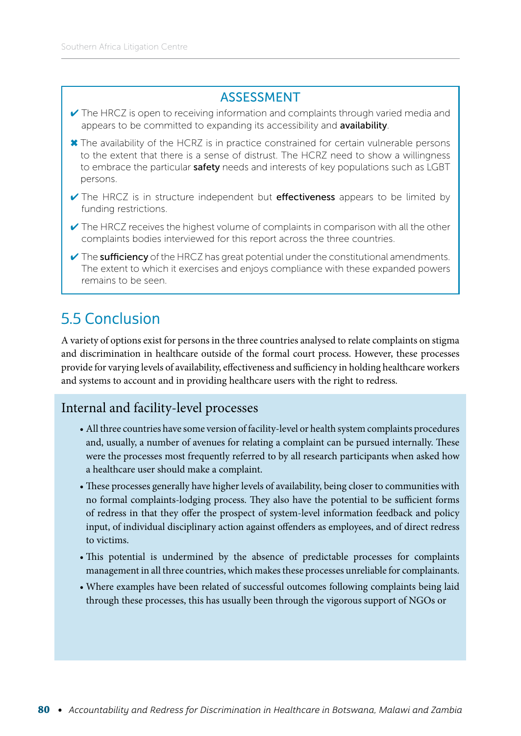#### ASSESSMENT

- ✔ The HRCZ is open to receiving information and complaints through varied media and appears to be committed to expanding its accessibility and availability.
- ✖ The availability of the HCRZ is in practice constrained for certain vulnerable persons to the extent that there is a sense of distrust. The HCRZ need to show a willingness to embrace the particular safety needs and interests of key populations such as LGBT persons.
- ✔ The HRCZ is in structure independent but effectiveness appears to be limited by funding restrictions.
- $\checkmark$  The HRCZ receives the highest volume of complaints in comparison with all the other complaints bodies interviewed for this report across the three countries.
- $\vee$  The sufficiency of the HRCZ has great potential under the constitutional amendments. The extent to which it exercises and enjoys compliance with these expanded powers remains to be seen.

# 5.5 Conclusion

A variety of options exist for persons in the three countries analysed to relate complaints on stigma and discrimination in healthcare outside of the formal court process. However, these processes provide for varying levels of availability, effectiveness and sufficiency in holding healthcare workers and systems to account and in providing healthcare users with the right to redress.

#### Internal and facility-level processes

- All three countries have some version of facility-level or health system complaints procedures and, usually, a number of avenues for relating a complaint can be pursued internally. These were the processes most frequently referred to by all research participants when asked how a healthcare user should make a complaint.
- These processes generally have higher levels of availability, being closer to communities with no formal complaints-lodging process. They also have the potential to be sufficient forms of redress in that they offer the prospect of system-level information feedback and policy input, of individual disciplinary action against offenders as employees, and of direct redress to victims.
- This potential is undermined by the absence of predictable processes for complaints management in all three countries, which makes these processes unreliable for complainants.
- Where examples have been related of successful outcomes following complaints being laid through these processes, this has usually been through the vigorous support of NGOs or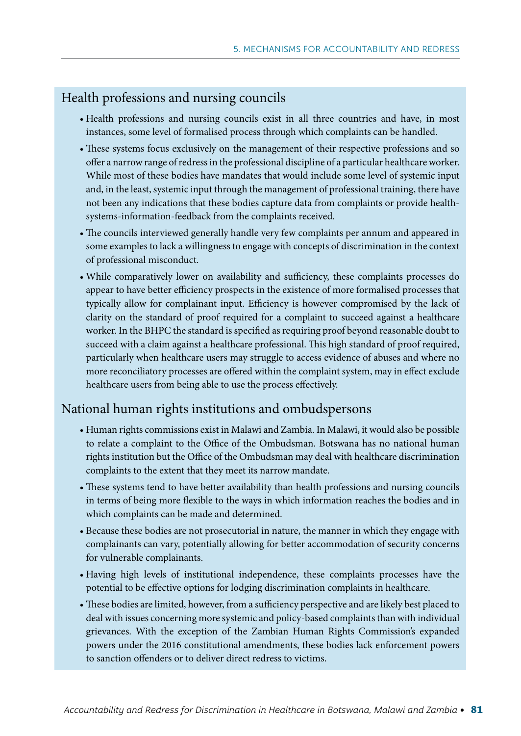#### Health professions and nursing councils

- Health professions and nursing councils exist in all three countries and have, in most instances, some level of formalised process through which complaints can be handled.
- These systems focus exclusively on the management of their respective professions and so offer a narrow range of redress in the professional discipline of a particular healthcare worker. While most of these bodies have mandates that would include some level of systemic input and, in the least, systemic input through the management of professional training, there have not been any indications that these bodies capture data from complaints or provide healthsystems-information-feedback from the complaints received.
- The councils interviewed generally handle very few complaints per annum and appeared in some examples to lack a willingness to engage with concepts of discrimination in the context of professional misconduct.
- While comparatively lower on availability and sufficiency, these complaints processes do appear to have better efficiency prospects in the existence of more formalised processes that typically allow for complainant input. Efficiency is however compromised by the lack of clarity on the standard of proof required for a complaint to succeed against a healthcare worker. In the BHPC the standard is specified as requiring proof beyond reasonable doubt to succeed with a claim against a healthcare professional. This high standard of proof required, particularly when healthcare users may struggle to access evidence of abuses and where no more reconciliatory processes are offered within the complaint system, may in effect exclude healthcare users from being able to use the process effectively.

#### National human rights institutions and ombudspersons

- Human rights commissions exist in Malawi and Zambia. In Malawi, it would also be possible to relate a complaint to the Office of the Ombudsman. Botswana has no national human rights institution but the Office of the Ombudsman may deal with healthcare discrimination complaints to the extent that they meet its narrow mandate.
- These systems tend to have better availability than health professions and nursing councils in terms of being more flexible to the ways in which information reaches the bodies and in which complaints can be made and determined.
- Because these bodies are not prosecutorial in nature, the manner in which they engage with complainants can vary, potentially allowing for better accommodation of security concerns for vulnerable complainants.
- Having high levels of institutional independence, these complaints processes have the potential to be effective options for lodging discrimination complaints in healthcare.
- These bodies are limited, however, from a sufficiency perspective and are likely best placed to deal with issues concerning more systemic and policy-based complaints than with individual grievances. With the exception of the Zambian Human Rights Commission's expanded powers under the 2016 constitutional amendments, these bodies lack enforcement powers to sanction offenders or to deliver direct redress to victims.